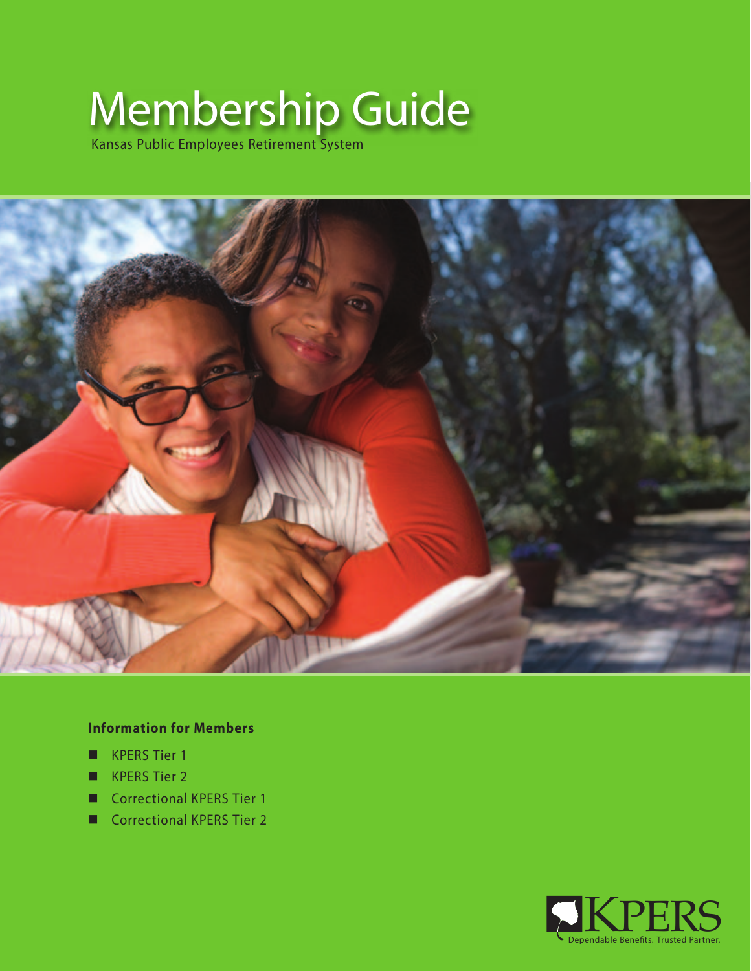# Membership Guide

Kansas Public Employees Retirement System



# **Information for Members**

- **KPERS Tier 1**
- **KPERS Tier 2**
- Correctional KPERS Tier 1
- Correctional KPERS Tier 2

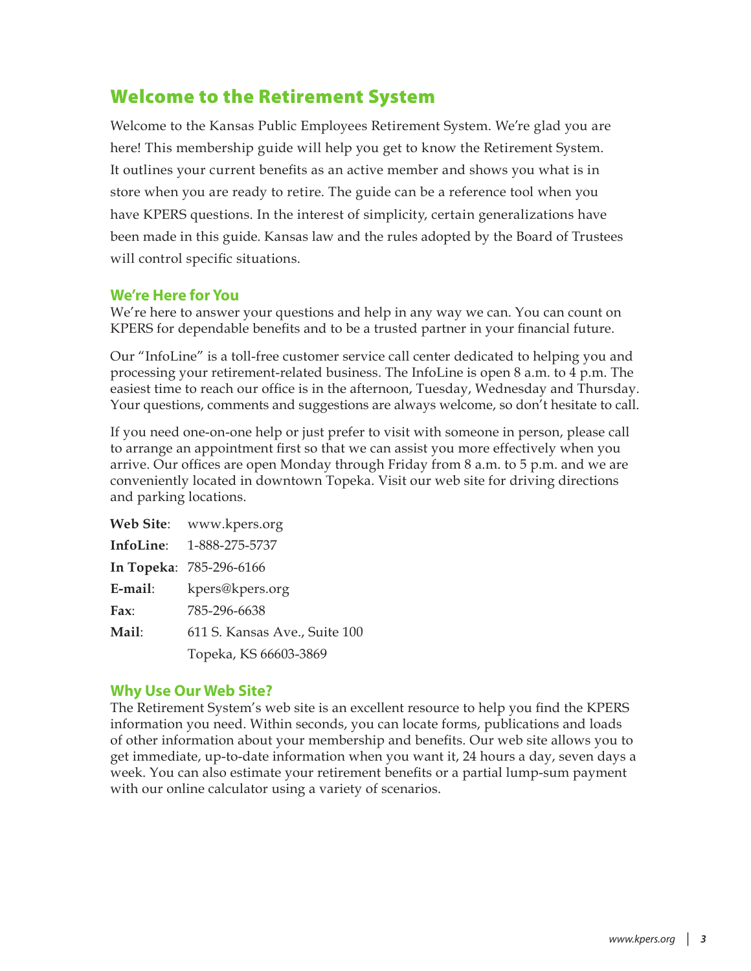# Welcome to the Retirement System

Welcome to the Kansas Public Employees Retirement System. We're glad you are here! This membership guide will help you get to know the Retirement System. It outlines your current benefits as an active member and shows you what is in store when you are ready to retire. The guide can be a reference tool when you have KPERS questions. In the interest of simplicity, certain generalizations have been made in this guide. Kansas law and the rules adopted by the Board of Trustees will control specific situations.

### **We're Here for You**

We're here to answer your questions and help in any way we can. You can count on KPERS for dependable benefits and to be a trusted partner in your financial future.

Our "InfoLine" is a toll-free customer service call center dedicated to helping you and processing your retirement-related business. The InfoLine is open 8 a.m. to 4 p.m. The easiest time to reach our office is in the afternoon, Tuesday, Wednesday and Thursday. Your questions, comments and suggestions are always welcome, so don't hesitate to call.

If you need one-on-one help or just prefer to visit with someone in person, please call to arrange an appointment first so that we can assist you more effectively when you arrive. Our offices are open Monday through Friday from 8 a.m. to 5 p.m. and we are conveniently located in downtown Topeka. Visit our web site for driving directions and parking locations.

|         | Web Site: www.kpers.org       |
|---------|-------------------------------|
|         | InfoLine: 1-888-275-5737      |
|         | In Topeka: 785-296-6166       |
| E-mail: | kpers@kpers.org               |
| Fax:    | 785-296-6638                  |
| Mail:   | 611 S. Kansas Ave., Suite 100 |
|         | Topeka, KS 66603-3869         |

### **Why Use Our Web Site?**

The Retirement System's web site is an excellent resource to help you find the KPERS information you need. Within seconds, you can locate forms, publications and loads of other information about your membership and benefits. Our web site allows you to get immediate, up-to-date information when you want it, 24 hours a day, seven days a week. You can also estimate your retirement benefits or a partial lump-sum payment with our online calculator using a variety of scenarios.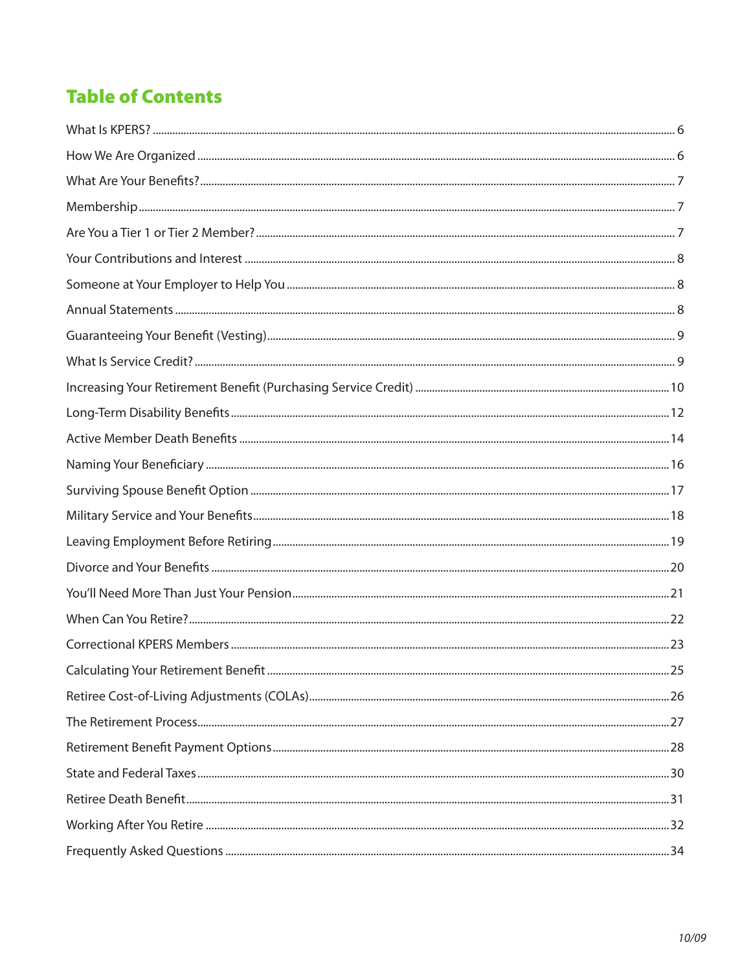# **Table of Contents**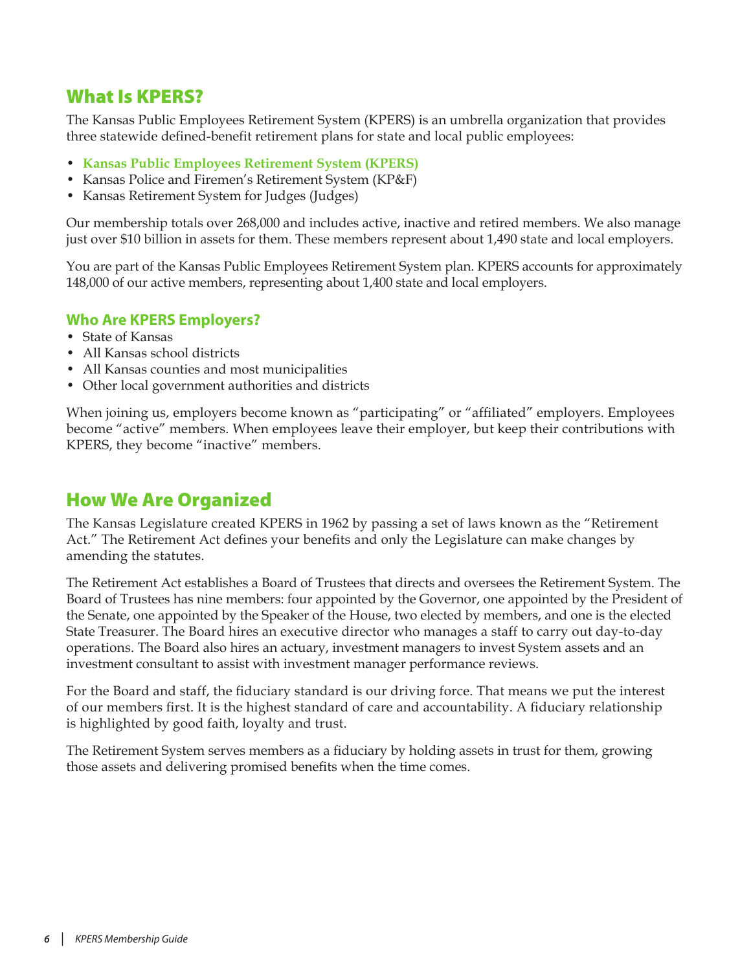# <span id="page-5-0"></span>What Is KPERS?

The Kansas Public Employees Retirement System (KPERS) is an umbrella organization that provides three statewide defined-benefit retirement plans for state and local public employees:

- **Kansas Public Employees Retirement System (KPERS)**
- Kansas Police and Firemen's Retirement System (KP&F)
- Kansas Retirement System for Judges (Judges)

Our membership totals over 268,000 and includes active, inactive and retired members. We also manage just over \$10 billion in assets for them. These members represent about 1,490 state and local employers.

You are part of the Kansas Public Employees Retirement System plan. KPERS accounts for approximately 148,000 of our active members, representing about 1,400 state and local employers.

### **Who Are KPERS Employers?**

- State of Kansas
- All Kansas school districts
- All Kansas counties and most municipalities
- Other local government authorities and districts

When joining us, employers become known as "participating" or "affiliated" employers. Employees become "active" members. When employees leave their employer, but keep their contributions with KPERS, they become "inactive" members.

# How We Are Organized

The Kansas Legislature created KPERS in 1962 by passing a set of laws known as the "Retirement Act." The Retirement Act defines your benefits and only the Legislature can make changes by amending the statutes.

The Retirement Act establishes a Board of Trustees that directs and oversees the Retirement System. The Board of Trustees has nine members: four appointed by the Governor, one appointed by the President of the Senate, one appointed by the Speaker of the House, two elected by members, and one is the elected State Treasurer. The Board hires an executive director who manages a staff to carry out day-to-day operations. The Board also hires an actuary, investment managers to invest System assets and an investment consultant to assist with investment manager performance reviews.

For the Board and staff, the fiduciary standard is our driving force. That means we put the interest of our members first. It is the highest standard of care and accountability. A fiduciary relationship is highlighted by good faith, loyalty and trust.

The Retirement System serves members as a fiduciary by holding assets in trust for them, growing those assets and delivering promised benefits when the time comes.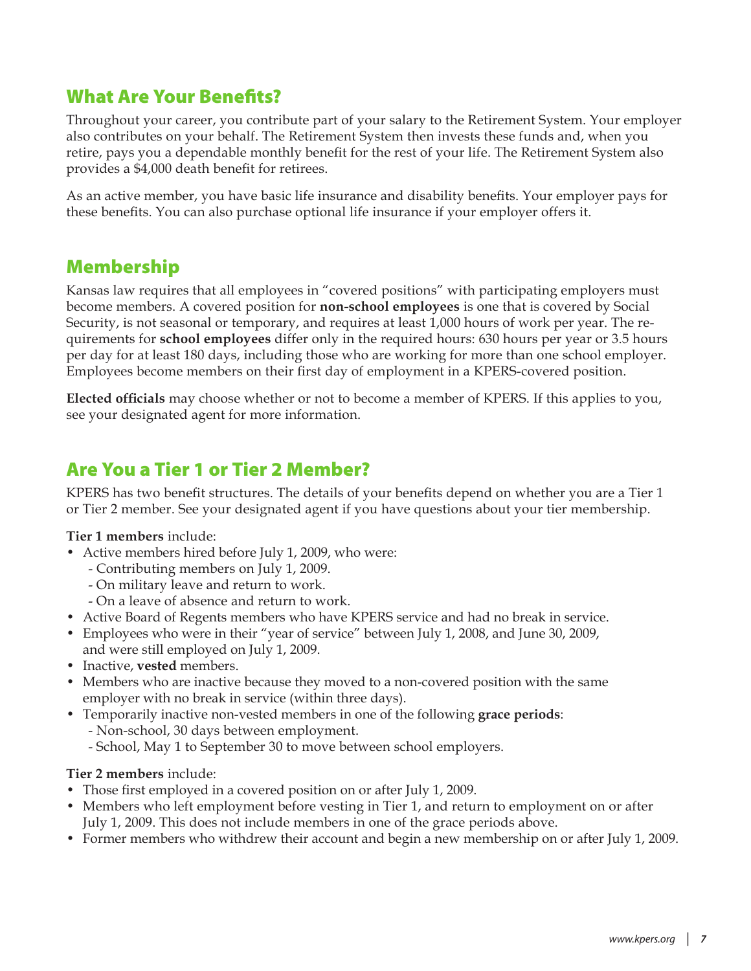# <span id="page-6-0"></span>What Are Your Benefits?

Throughout your career, you contribute part of your salary to the Retirement System. Your employer also contributes on your behalf. The Retirement System then invests these funds and, when you retire, pays you a dependable monthly benefit for the rest of your life. The Retirement System also provides a \$4,000 death benefit for retirees.

As an active member, you have basic life insurance and disability benefits. Your employer pays for these benefits. You can also purchase optional life insurance if your employer offers it.

# Membership

Kansas law requires that all employees in "covered positions" with participating employers must become members. A covered position for **non-school employees** is one that is covered by Social Security, is not seasonal or temporary, and requires at least 1,000 hours of work per year. The requirements for **school employees** differ only in the required hours: 630 hours per year or 3.5 hours per day for at least 180 days, including those who are working for more than one school employer. Employees become members on their first day of employment in a KPERS-covered position.

**Elected officials** may choose whether or not to become a member of KPERS. If this applies to you, see your designated agent for more information.

# Are You a Tier 1 or Tier 2 Member?

KPERS has two benefit structures. The details of your benefits depend on whether you are a Tier 1 or Tier 2 member. See your designated agent if you have questions about your tier membership.

**Tier 1 members** include:

- Active members hired before July 1, 2009, who were:
	- Contributing members on July 1, 2009.
	- On military leave and return to work.
	- On a leave of absence and return to work.
- Active Board of Regents members who have KPERS service and had no break in service.
- Employees who were in their "year of service" between July 1, 2008, and June 30, 2009, and were still employed on July 1, 2009.
- Inactive, **vested** members.
- Members who are inactive because they moved to a non-covered position with the same employer with no break in service (within three days).
- Temporarily inactive non-vested members in one of the following **grace periods**:
	- Non-school, 30 days between employment.
	- School, May 1 to September 30 to move between school employers.

### **Tier 2 members** include:

- Those first employed in a covered position on or after July 1, 2009.
- Members who left employment before vesting in Tier 1, and return to employment on or after July 1, 2009. This does not include members in one of the grace periods above.
- Former members who withdrew their account and begin a new membership on or after July 1, 2009.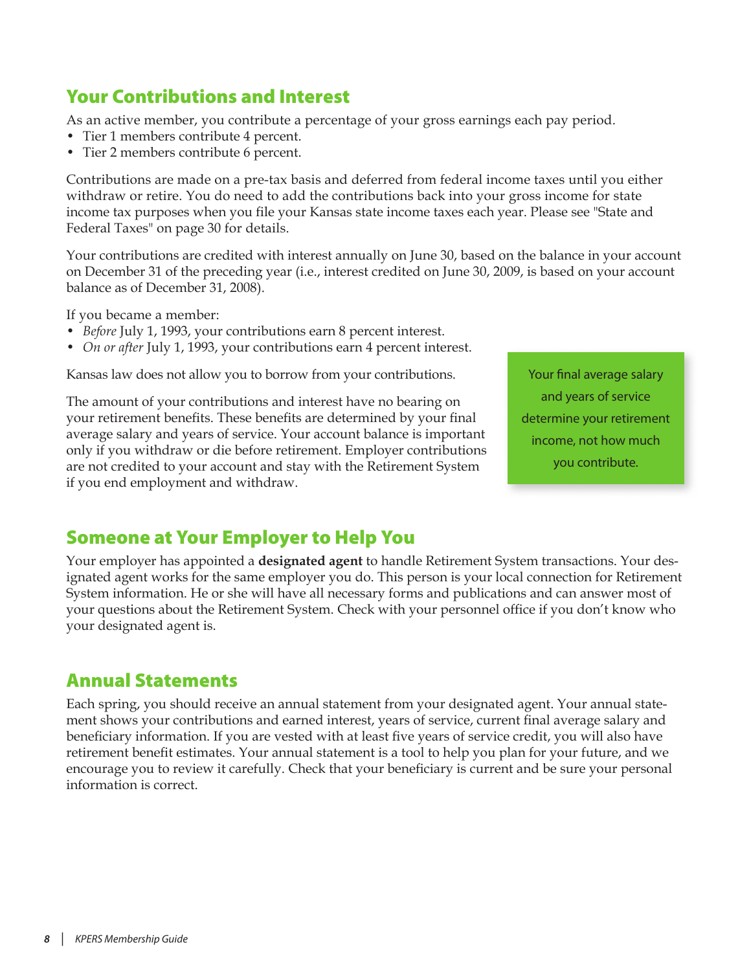# <span id="page-7-0"></span>Your Contributions and Interest

As an active member, you contribute a percentage of your gross earnings each pay period.

- Tier 1 members contribute 4 percent.
- Tier 2 members contribute 6 percent.

Contributions are made on a pre-tax basis and deferred from federal income taxes until you either withdraw or retire. You do need to add the contributions back into your gross income for state income tax purposes when you file your Kansas state income taxes each year. Please see ["State and](#page-29-1)  [Federal Taxes" on page 30](#page-29-1) for details.

Your contributions are credited with interest annually on June 30, based on the balance in your account on December 31 of the preceding year (i.e., interest credited on June 30, 2009, is based on your account balance as of December 31, 2008).

If you became a member:

- *Before* July 1, 1993, your contributions earn 8 percent interest.
- *On or after* July 1, 1993, your contributions earn 4 percent interest.

Kansas law does not allow you to borrow from your contributions.

The amount of your contributions and interest have no bearing on your retirement benefits. These benefits are determined by your final average salary and years of service. Your account balance is important only if you withdraw or die before retirement. Employer contributions are not credited to your account and stay with the Retirement System if you end employment and withdraw.

Your final average salary and years of service determine your retirement income, not how much you contribute.

# Someone at Your Employer to Help You

Your employer has appointed a **designated agent** to handle Retirement System transactions. Your designated agent works for the same employer you do. This person is your local connection for Retirement System information. He or she will have all necessary forms and publications and can answer most of your questions about the Retirement System. Check with your personnel office if you don't know who your designated agent is.

# Annual Statements

Each spring, you should receive an annual statement from your designated agent. Your annual statement shows your contributions and earned interest, years of service, current final average salary and beneficiary information. If you are vested with at least five years of service credit, you will also have retirement benefit estimates. Your annual statement is a tool to help you plan for your future, and we encourage you to review it carefully. Check that your beneficiary is current and be sure your personal information is correct.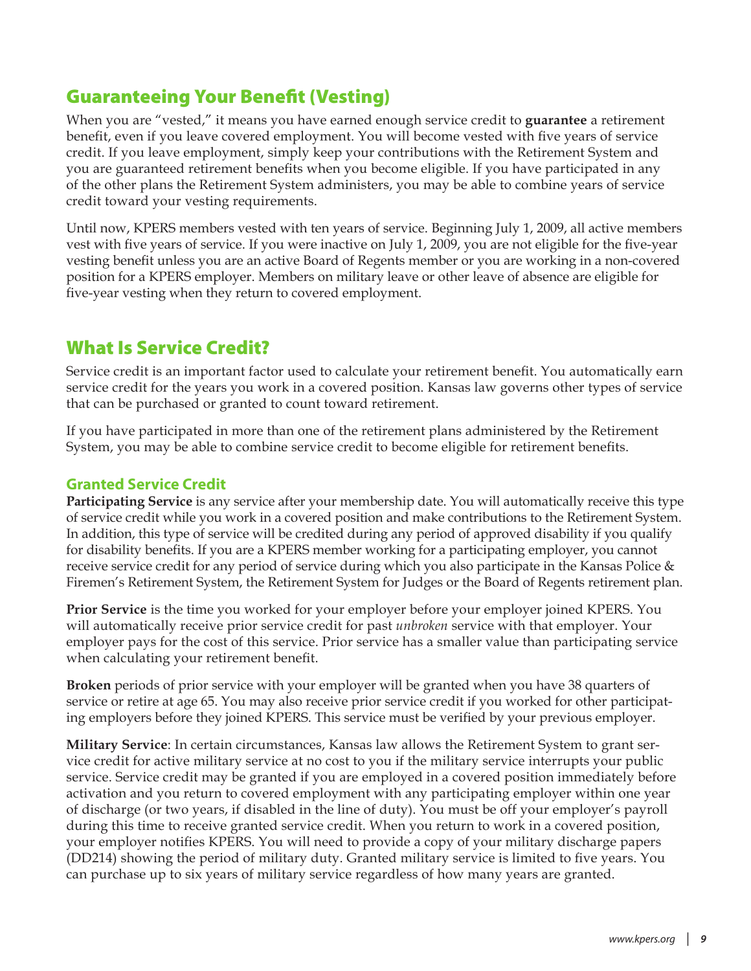# <span id="page-8-0"></span>Guaranteeing Your Benefit (Vesting)

When you are "vested," it means you have earned enough service credit to **guarantee** a retirement benefit, even if you leave covered employment. You will become vested with five years of service credit. If you leave employment, simply keep your contributions with the Retirement System and you are guaranteed retirement benefits when you become eligible. If you have participated in any of the other plans the Retirement System administers, you may be able to combine years of service credit toward your vesting requirements.

Until now, KPERS members vested with ten years of service. Beginning July 1, 2009, all active members vest with five years of service. If you were inactive on July 1, 2009, you are not eligible for the five-year vesting benefit unless you are an active Board of Regents member or you are working in a non-covered position for a KPERS employer. Members on military leave or other leave of absence are eligible for five-year vesting when they return to covered employment.

# What Is Service Credit?

Service credit is an important factor used to calculate your retirement benefit. You automatically earn service credit for the years you work in a covered position. Kansas law governs other types of service that can be purchased or granted to count toward retirement.

If you have participated in more than one of the retirement plans administered by the Retirement System, you may be able to combine service credit to become eligible for retirement benefits.

# **Granted Service Credit**

**Participating Service** is any service after your membership date. You will automatically receive this type of service credit while you work in a covered position and make contributions to the Retirement System. In addition, this type of service will be credited during any period of approved disability if you qualify for disability benefits. If you are a KPERS member working for a participating employer, you cannot receive service credit for any period of service during which you also participate in the Kansas Police & Firemen's Retirement System, the Retirement System for Judges or the Board of Regents retirement plan.

**Prior Service** is the time you worked for your employer before your employer joined KPERS. You will automatically receive prior service credit for past *unbroken* service with that employer. Your employer pays for the cost of this service. Prior service has a smaller value than participating service when calculating your retirement benefit.

**Broken** periods of prior service with your employer will be granted when you have 38 quarters of service or retire at age 65. You may also receive prior service credit if you worked for other participating employers before they joined KPERS. This service must be verified by your previous employer.

**Military Service**: In certain circumstances, Kansas law allows the Retirement System to grant service credit for active military service at no cost to you if the military service interrupts your public service. Service credit may be granted if you are employed in a covered position immediately before activation and you return to covered employment with any participating employer within one year of discharge (or two years, if disabled in the line of duty). You must be off your employer's payroll during this time to receive granted service credit. When you return to work in a covered position, your employer notifies KPERS. You will need to provide a copy of your military discharge papers (DD214) showing the period of military duty. Granted military service is limited to five years. You can purchase up to six years of military service regardless of how many years are granted.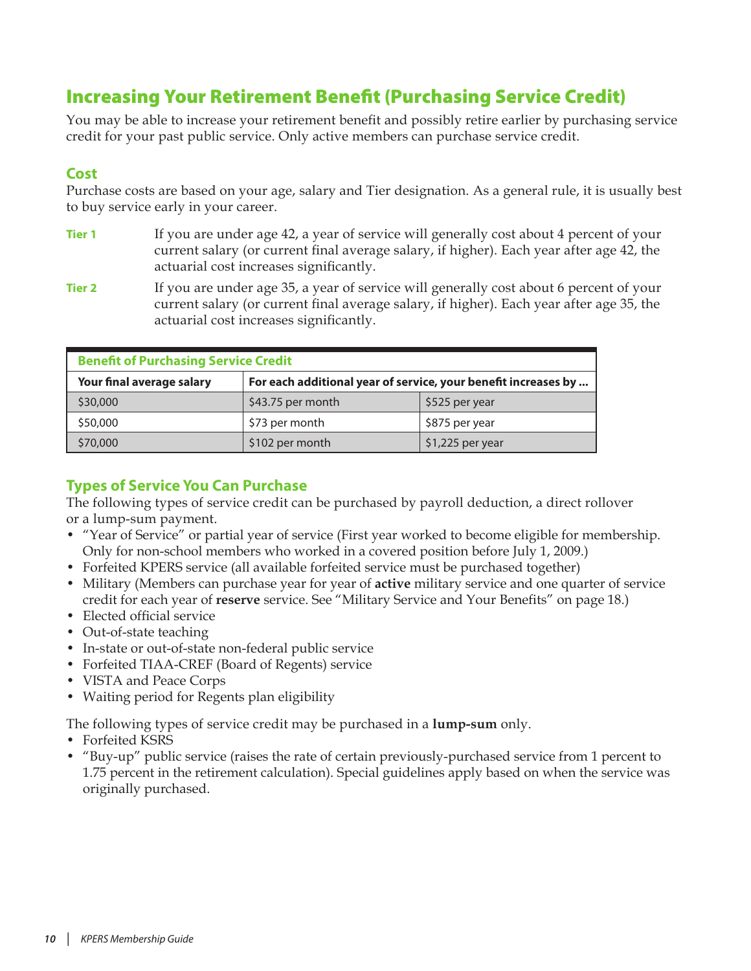# <span id="page-9-1"></span><span id="page-9-0"></span>Increasing Your Retirement Benefit (Purchasing Service Credit)

You may be able to increase your retirement benefit and possibly retire earlier by purchasing service credit for your past public service. Only active members can purchase service credit.

## **Cost**

Purchase costs are based on your age, salary and Tier designation. As a general rule, it is usually best to buy service early in your career.

- **Tier 1** If you are under age 42, a year of service will generally cost about 4 percent of your current salary (or current final average salary, if higher). Each year after age 42, the actuarial cost increases significantly.
- **Tier 2** If you are under age 35, a year of service will generally cost about 6 percent of your current salary (or current final average salary, if higher). Each year after age 35, the actuarial cost increases significantly.

| <b>Benefit of Purchasing Service Credit</b> |                                                                |                   |  |  |
|---------------------------------------------|----------------------------------------------------------------|-------------------|--|--|
| Your final average salary                   | For each additional year of service, your benefit increases by |                   |  |  |
| \$30,000                                    | \$43.75 per month                                              | \$525 per year    |  |  |
| \$50,000                                    | \$73 per month                                                 | \$875 per year    |  |  |
| \$70,000                                    | \$102 per month                                                | $$1,225$ per year |  |  |

# **Types of Service You Can Purchase**

The following types of service credit can be purchased by payroll deduction, a direct rollover or a lump-sum payment.

- "Year of Service" or partial year of service (First year worked to become eligible for membership. Only for non-school members who worked in a covered position before July 1, 2009.)
- Forfeited KPERS service (all available forfeited service must be purchased together)
- Military (Members can purchase year for year of **active** military service and one quarter of service credit for each year of **reserve** service. See "Military Service and Your Benefits" on [page 18.](#page-17-1))
- Elected official service
- Out-of-state teaching
- In-state or out-of-state non-federal public service
- Forfeited TIAA-CREF (Board of Regents) service
- VISTA and Peace Corps
- Waiting period for Regents plan eligibility

The following types of service credit may be purchased in a **lump-sum** only.

- Forfeited KSRS
- "Buy-up" public service (raises the rate of certain previously-purchased service from 1 percent to 1.75 percent in the retirement calculation). Special guidelines apply based on when the service was originally purchased.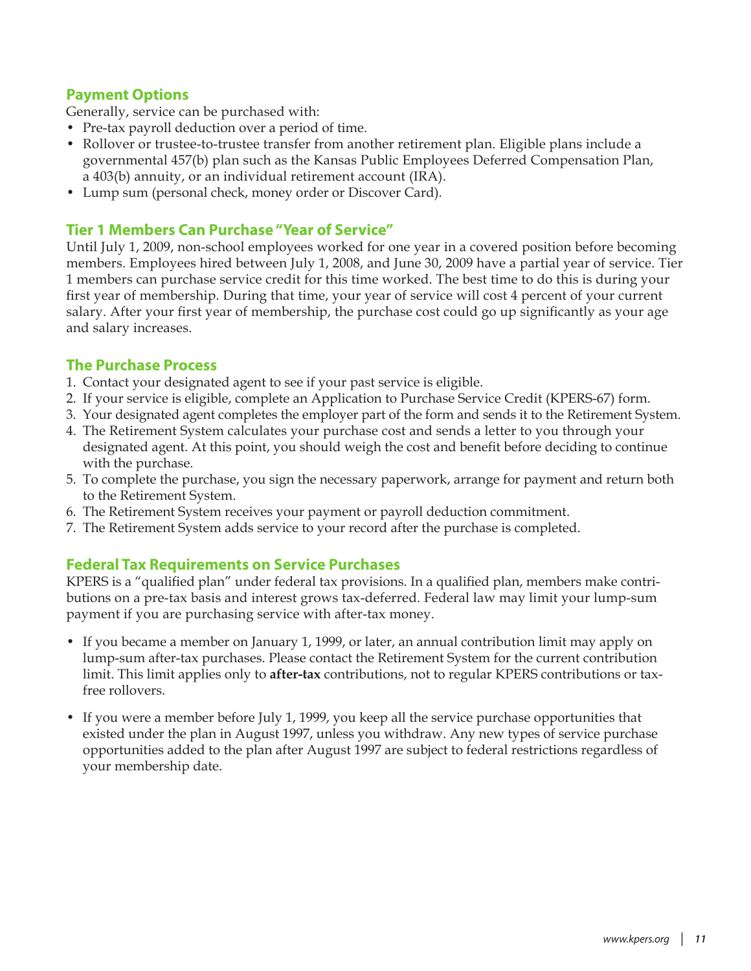# **Payment Options**

Generally, service can be purchased with:

- Pre-tax payroll deduction over a period of time.
- Rollover or trustee-to-trustee transfer from another retirement plan. Eligible plans include a governmental 457(b) plan such as the Kansas Public Employees Deferred Compensation Plan, a 403(b) annuity, or an individual retirement account (IRA).
- Lump sum (personal check, money order or Discover Card).

### **Tier 1 Members Can Purchase "Year of Service"**

Until July 1, 2009, non-school employees worked for one year in a covered position before becoming members. Employees hired between July 1, 2008, and June 30, 2009 have a partial year of service. Tier 1 members can purchase service credit for this time worked. The best time to do this is during your first year of membership. During that time, your year of service will cost 4 percent of your current salary. After your first year of membership, the purchase cost could go up significantly as your age and salary increases.

### **The Purchase Process**

- 1. Contact your designated agent to see if your past service is eligible.
- 2. If your service is eligible, complete an Application to Purchase Service Credit (KPERS-67) form.
- 3. Your designated agent completes the employer part of the form and sends it to the Retirement System.
- 4. The Retirement System calculates your purchase cost and sends a letter to you through your designated agent. At this point, you should weigh the cost and benefit before deciding to continue with the purchase.
- 5. To complete the purchase, you sign the necessary paperwork, arrange for payment and return both to the Retirement System.
- 6. The Retirement System receives your payment or payroll deduction commitment.
- 7. The Retirement System adds service to your record after the purchase is completed.

### **Federal Tax Requirements on Service Purchases**

KPERS is a "qualified plan" under federal tax provisions. In a qualified plan, members make contributions on a pre-tax basis and interest grows tax-deferred. Federal law may limit your lump-sum payment if you are purchasing service with after-tax money.

- If you became a member on January 1, 1999, or later, an annual contribution limit may apply on lump-sum after-tax purchases. Please contact the Retirement System for the current contribution limit. This limit applies only to **after-tax** contributions, not to regular KPERS contributions or taxfree rollovers.
- If you were a member before July 1, 1999, you keep all the service purchase opportunities that existed under the plan in August 1997, unless you withdraw. Any new types of service purchase opportunities added to the plan after August 1997 are subject to federal restrictions regardless of your membership date.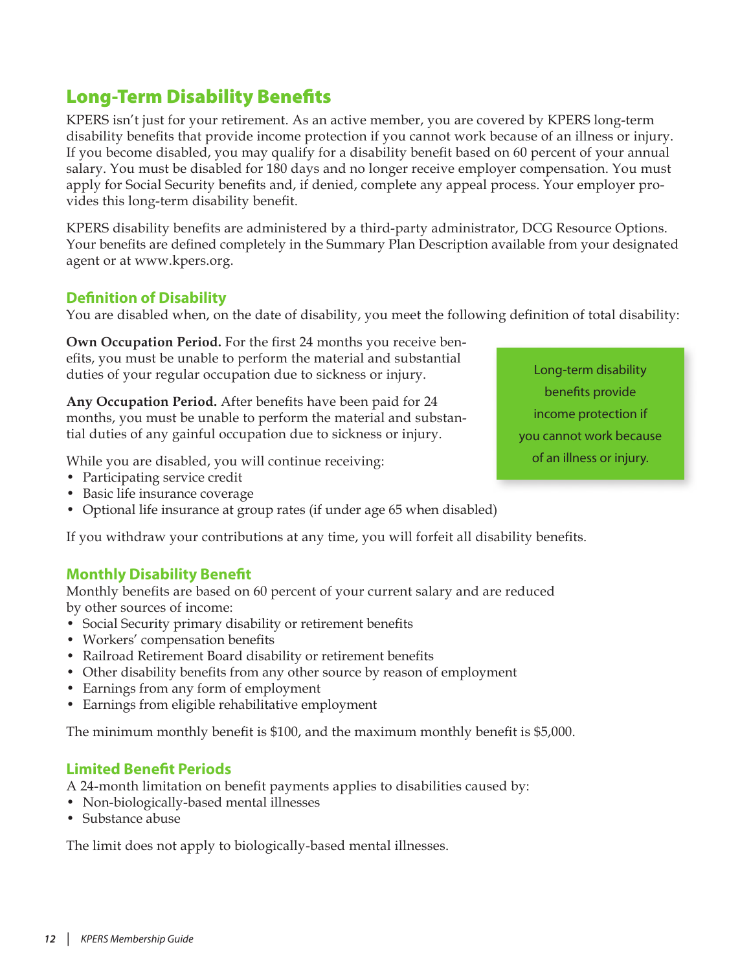# <span id="page-11-0"></span>Long-Term Disability Benefits

KPERS isn't just for your retirement. As an active member, you are covered by KPERS long-term disability benefits that provide income protection if you cannot work because of an illness or injury. If you become disabled, you may qualify for a disability benefit based on 60 percent of your annual salary. You must be disabled for 180 days and no longer receive employer compensation. You must apply for Social Security benefits and, if denied, complete any appeal process. Your employer provides this long-term disability benefit.

KPERS disability benefits are administered by a third-party administrator, DCG Resource Options. Your benefits are defined completely in the Summary Plan Description available from your designated agent or at www.kpers.org.

# **Definition of Disability**

You are disabled when, on the date of disability, you meet the following definition of total disability:

**Own Occupation Period.** For the first 24 months you receive benefits, you must be unable to perform the material and substantial duties of your regular occupation due to sickness or injury.

**Any Occupation Period.** After benefits have been paid for 24 months, you must be unable to perform the material and substantial duties of any gainful occupation due to sickness or injury.

While you are disabled, you will continue receiving:

- Participating service credit
- Basic life insurance coverage
- Optional life insurance at group rates (if under age 65 when disabled)

If you withdraw your contributions at any time, you will forfeit all disability benefits.

### **Monthly Disability Benefit**

Monthly benefits are based on 60 percent of your current salary and are reduced by other sources of income:

- Social Security primary disability or retirement benefits
- Workers' compensation benefits
- Railroad Retirement Board disability or retirement benefits
- Other disability benefits from any other source by reason of employment
- Earnings from any form of employment
- Earnings from eligible rehabilitative employment

The minimum monthly benefit is \$100, and the maximum monthly benefit is \$5,000.

### **Limited Benefit Periods**

A 24-month limitation on benefit payments applies to disabilities caused by:

- Non-biologically-based mental illnesses
- Substance abuse

The limit does not apply to biologically-based mental illnesses.

Long-term disability benefits provide income protection if you cannot work because of an illness or injury.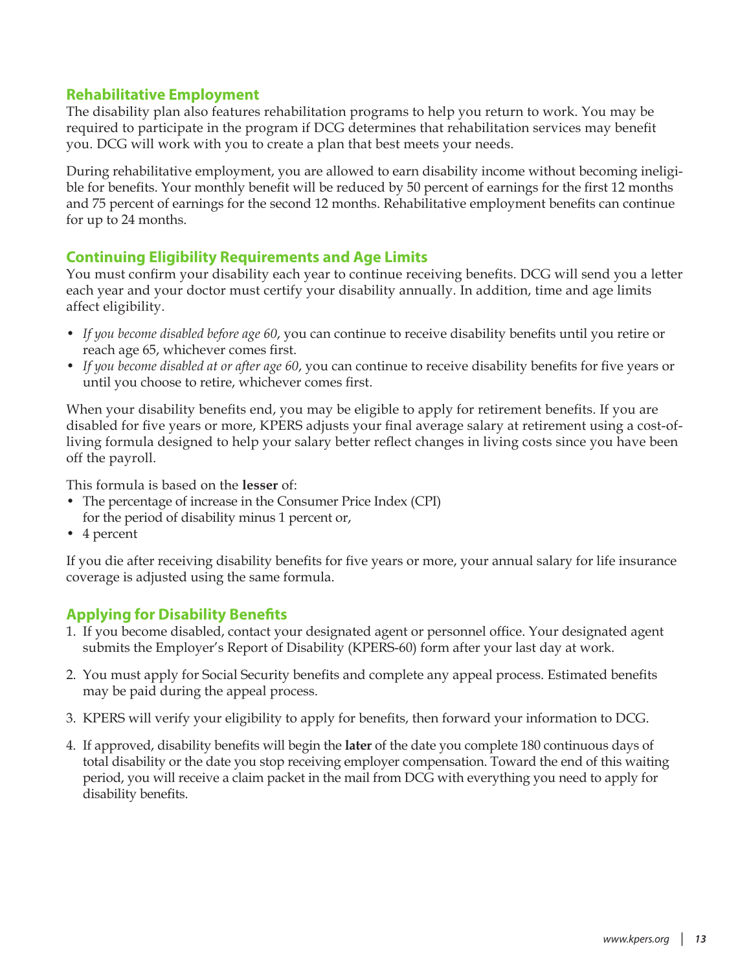### **Rehabilitative Employment**

The disability plan also features rehabilitation programs to help you return to work. You may be required to participate in the program if DCG determines that rehabilitation services may benefit you. DCG will work with you to create a plan that best meets your needs.

During rehabilitative employment, you are allowed to earn disability income without becoming ineligible for benefits. Your monthly benefit will be reduced by 50 percent of earnings for the first 12 months and 75 percent of earnings for the second 12 months. Rehabilitative employment benefits can continue for up to 24 months.

### **Continuing Eligibility Requirements and Age Limits**

You must confirm your disability each year to continue receiving benefits. DCG will send you a letter each year and your doctor must certify your disability annually. In addition, time and age limits affect eligibility.

- *If you become disabled before age 60*, you can continue to receive disability benefits until you retire or reach age 65, whichever comes first.
- *If you become disabled at or after age 60*, you can continue to receive disability benefits for five years or until you choose to retire, whichever comes first.

When your disability benefits end, you may be eligible to apply for retirement benefits. If you are disabled for five years or more, KPERS adjusts your final average salary at retirement using a cost-ofliving formula designed to help your salary better reflect changes in living costs since you have been off the payroll.

This formula is based on the **lesser** of:

- The percentage of increase in the Consumer Price Index (CPI) for the period of disability minus 1 percent or,
- 4 percent

If you die after receiving disability benefits for five years or more, your annual salary for life insurance coverage is adjusted using the same formula.

### **Applying for Disability Benefits**

- 1. If you become disabled, contact your designated agent or personnel office. Your designated agent submits the Employer's Report of Disability (KPERS-60) form after your last day at work.
- 2. You must apply for Social Security benefits and complete any appeal process. Estimated benefits may be paid during the appeal process.
- 3. KPERS will verify your eligibility to apply for benefits, then forward your information to DCG.
- 4. If approved, disability benefits will begin the **later** of the date you complete 180 continuous days of total disability or the date you stop receiving employer compensation. Toward the end of this waiting period, you will receive a claim packet in the mail from DCG with everything you need to apply for disability benefits.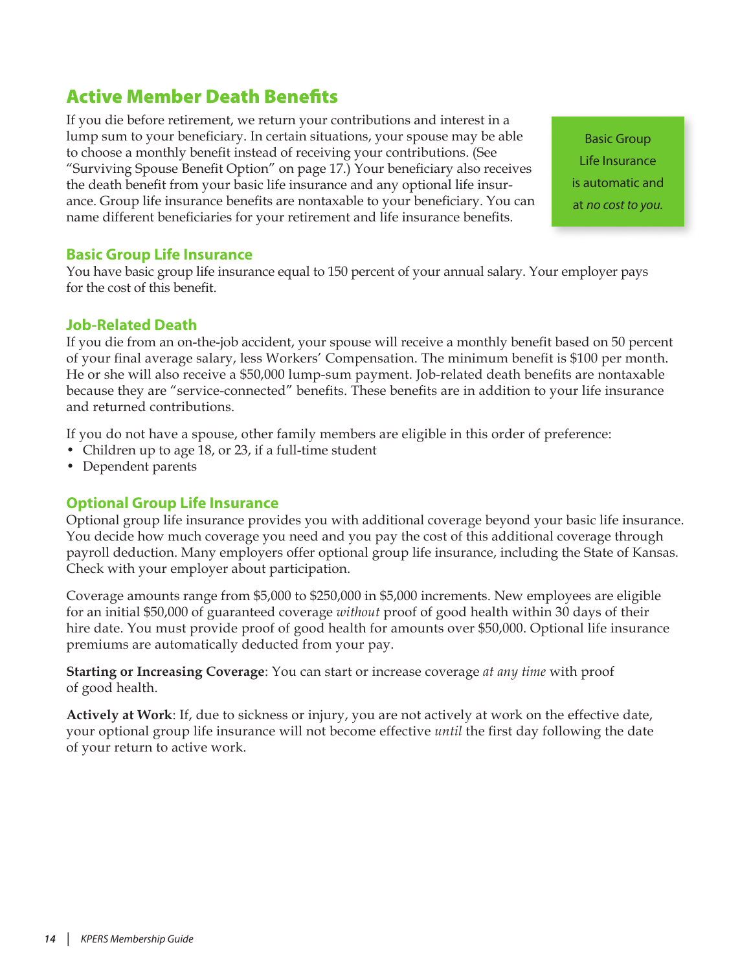# <span id="page-13-0"></span>Active Member Death Benefits

If you die before retirement, we return your contributions and interest in a lump sum to your beneficiary. In certain situations, your spouse may be able to choose a monthly benefit instead of receiving your contributions. (See "Surviving Spouse Benefit Option" on [page 17.](#page-16-1)) Your beneficiary also receives the death benefit from your basic life insurance and any optional life insurance. Group life insurance benefits are nontaxable to your beneficiary. You can name different beneficiaries for your retirement and life insurance benefits.

Basic Group Life Insurance is automatic and at *no cost to you.*

### **Basic Group Life Insurance**

You have basic group life insurance equal to 150 percent of your annual salary. Your employer pays for the cost of this benefit.

#### **Job-Related Death**

If you die from an on-the-job accident, your spouse will receive a monthly benefit based on 50 percent of your final average salary, less Workers' Compensation. The minimum benefit is \$100 per month. He or she will also receive a \$50,000 lump-sum payment. Job-related death benefits are nontaxable because they are "service-connected" benefits. These benefits are in addition to your life insurance and returned contributions.

If you do not have a spouse, other family members are eligible in this order of preference:

- Children up to age 18, or 23, if a full-time student
- Dependent parents

#### **Optional Group Life Insurance**

Optional group life insurance provides you with additional coverage beyond your basic life insurance. You decide how much coverage you need and you pay the cost of this additional coverage through payroll deduction. Many employers offer optional group life insurance, including the State of Kansas. Check with your employer about participation.

Coverage amounts range from \$5,000 to \$250,000 in \$5,000 increments. New employees are eligible for an initial \$50,000 of guaranteed coverage *without* proof of good health within 30 days of their hire date. You must provide proof of good health for amounts over \$50,000. Optional life insurance premiums are automatically deducted from your pay.

**Starting or Increasing Coverage**: You can start or increase coverage *at any time* with proof of good health.

**Actively at Work**: If, due to sickness or injury, you are not actively at work on the effective date, your optional group life insurance will not become effective *until* the first day following the date of your return to active work.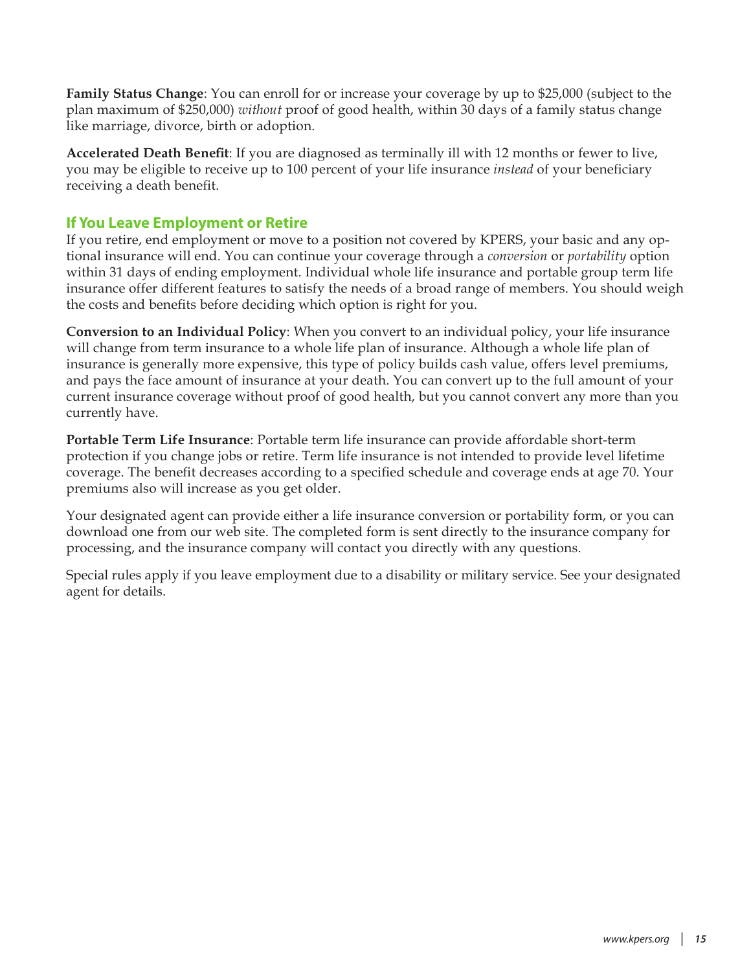**Family Status Change**: You can enroll for or increase your coverage by up to \$25,000 (subject to the plan maximum of \$250,000) *without* proof of good health, within 30 days of a family status change like marriage, divorce, birth or adoption.

**Accelerated Death Benefit**: If you are diagnosed as terminally ill with 12 months or fewer to live, you may be eligible to receive up to 100 percent of your life insurance *instead* of your beneficiary receiving a death benefit.

### **If You Leave Employment or Retire**

If you retire, end employment or move to a position not covered by KPERS, your basic and any optional insurance will end. You can continue your coverage through a *conversion* or *portability* option within 31 days of ending employment. Individual whole life insurance and portable group term life insurance offer different features to satisfy the needs of a broad range of members. You should weigh the costs and benefits before deciding which option is right for you.

**Conversion to an Individual Policy**: When you convert to an individual policy, your life insurance will change from term insurance to a whole life plan of insurance. Although a whole life plan of insurance is generally more expensive, this type of policy builds cash value, offers level premiums, and pays the face amount of insurance at your death. You can convert up to the full amount of your current insurance coverage without proof of good health, but you cannot convert any more than you currently have.

**Portable Term Life Insurance**: Portable term life insurance can provide affordable short-term protection if you change jobs or retire. Term life insurance is not intended to provide level lifetime coverage. The benefit decreases according to a specified schedule and coverage ends at age 70. Your premiums also will increase as you get older.

Your designated agent can provide either a life insurance conversion or portability form, or you can download one from our web site. The completed form is sent directly to the insurance company for processing, and the insurance company will contact you directly with any questions.

Special rules apply if you leave employment due to a disability or military service. See your designated agent for details.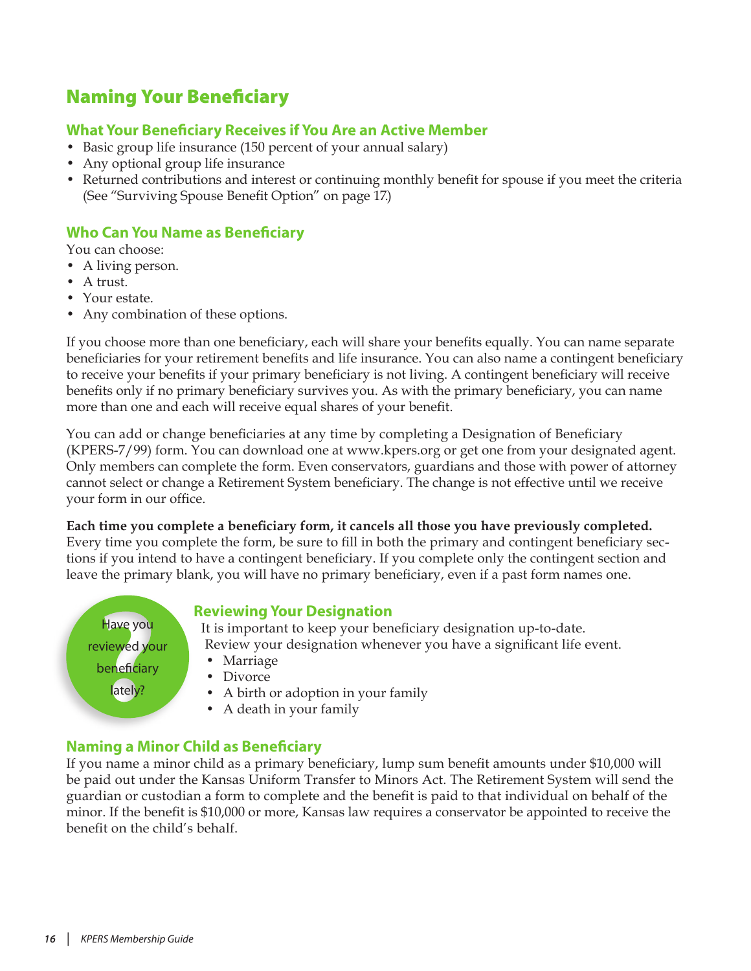# <span id="page-15-0"></span>Naming Your Beneficiary

# **What Your Beneficiary Receives if You Are an Active Member**

- Basic group life insurance (150 percent of your annual salary)
- Any optional group life insurance
- Returned contributions and interest or continuing monthly benefit for spouse if you meet the criteria (See "Surviving Spouse Benefit Option" on [page 17.](#page-16-1))

# **Who Can You Name as Beneficiary**

You can choose:

- A living person.
- A trust.
- Your estate.
- Any combination of these options.

If you choose more than one beneficiary, each will share your benefits equally. You can name separate beneficiaries for your retirement benefits and life insurance. You can also name a contingent beneficiary to receive your benefits if your primary beneficiary is not living. A contingent beneficiary will receive benefits only if no primary beneficiary survives you. As with the primary beneficiary, you can name more than one and each will receive equal shares of your benefit.

You can add or change beneficiaries at any time by completing a Designation of Beneficiary (KPERS-7/99) form. You can download one at www.kpers.org or get one from your designated agent. Only members can complete the form. Even conservators, guardians and those with power of attorney cannot select or change a Retirement System beneficiary. The change is not effective until we receive your form in our office.

**Each time you complete a beneficiary form, it cancels all those you have previously completed.** Every time you complete the form, be sure to fill in both the primary and contingent beneficiary sections if you intend to have a contingent beneficiary. If you complete only the contingent section and leave the primary blank, you will have no primary beneficiary, even if a past form names one.

Have you reviewed your beneficiary lately?

### **Reviewing Your Designation**

It is important to keep your beneficiary designation up-to-date. Review your designation whenever you have a significant life event.

- Marriage
- Divorce
- A birth or adoption in your family
- A death in your family

### **Naming a Minor Child as Beneficiary**

If you name a minor child as a primary beneficiary, lump sum benefit amounts under \$10,000 will be paid out under the Kansas Uniform Transfer to Minors Act. The Retirement System will send the guardian or custodian a form to complete and the benefit is paid to that individual on behalf of the minor. If the benefit is \$10,000 or more, Kansas law requires a conservator be appointed to receive the benefit on the child's behalf.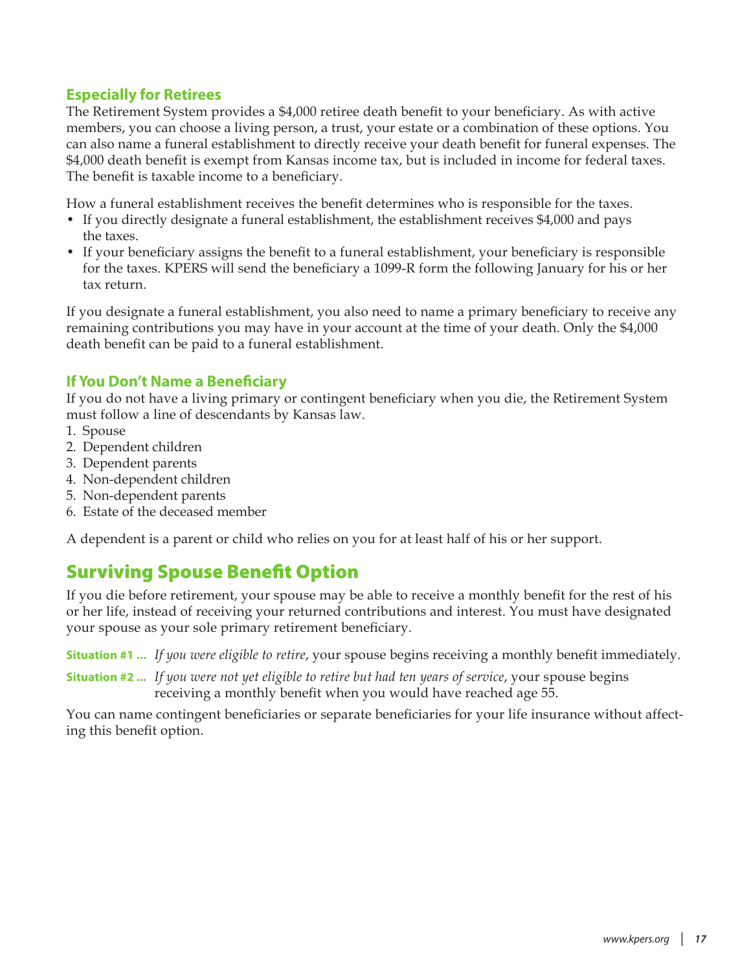# <span id="page-16-0"></span>**Especially for Retirees**

The Retirement System provides a \$4,000 retiree death benefit to your beneficiary. As with active members, you can choose a living person, a trust, your estate or a combination of these options. You can also name a funeral establishment to directly receive your death benefit for funeral expenses. The \$4,000 death benefit is exempt from Kansas income tax, but is included in income for federal taxes. The benefit is taxable income to a beneficiary.

How a funeral establishment receives the benefit determines who is responsible for the taxes.

- If you directly designate a funeral establishment, the establishment receives \$4,000 and pays the taxes.
- If your beneficiary assigns the benefit to a funeral establishment, your beneficiary is responsible for the taxes. KPERS will send the beneficiary a 1099-R form the following January for his or her tax return.

If you designate a funeral establishment, you also need to name a primary beneficiary to receive any remaining contributions you may have in your account at the time of your death. Only the \$4,000 death benefit can be paid to a funeral establishment.

## **If You Don't Name a Beneficiary**

If you do not have a living primary or contingent beneficiary when you die, the Retirement System must follow a line of descendants by Kansas law.

- 1. Spouse
- 2. Dependent children
- 3. Dependent parents
- 4. Non-dependent children
- 5. Non-dependent parents
- 6. Estate of the deceased member

A dependent is a parent or child who relies on you for at least half of his or her support.

# <span id="page-16-1"></span>Surviving Spouse Benefit Option

If you die before retirement, your spouse may be able to receive a monthly benefit for the rest of his or her life, instead of receiving your returned contributions and interest. You must have designated your spouse as your sole primary retirement beneficiary.

**Situation #1 ...** *If you were eligible to retire*, your spouse begins receiving a monthly benefit immediately.

**Situation #2 ...** *If you were not yet eligible to retire but had ten years of service*, your spouse begins receiving a monthly benefit when you would have reached age 55.

You can name contingent beneficiaries or separate beneficiaries for your life insurance without affecting this benefit option.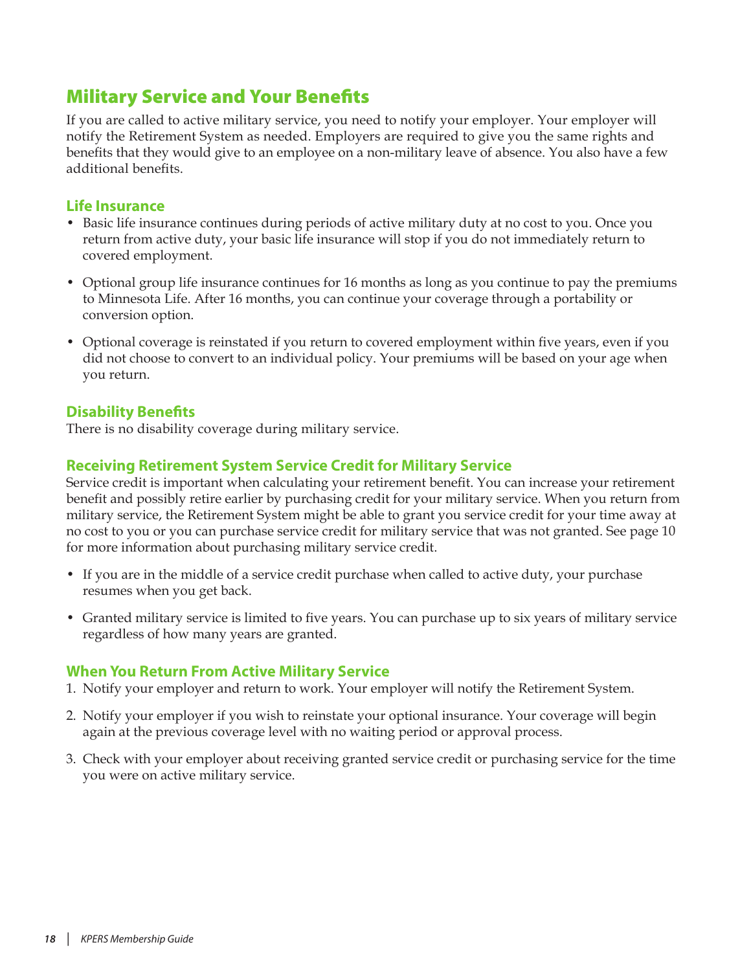# <span id="page-17-1"></span><span id="page-17-0"></span>Military Service and Your Benefits

If you are called to active military service, you need to notify your employer. Your employer will notify the Retirement System as needed. Employers are required to give you the same rights and benefits that they would give to an employee on a non-military leave of absence. You also have a few additional benefits.

### **Life Insurance**

- Basic life insurance continues during periods of active military duty at no cost to you. Once you return from active duty, your basic life insurance will stop if you do not immediately return to covered employment.
- Optional group life insurance continues for 16 months as long as you continue to pay the premiums to Minnesota Life. After 16 months, you can continue your coverage through a portability or conversion option.
- Optional coverage is reinstated if you return to covered employment within five years, even if you did not choose to convert to an individual policy. Your premiums will be based on your age when you return.

# **Disability Benefits**

There is no disability coverage during military service.

# **Receiving Retirement System Service Credit for Military Service**

Service credit is important when calculating your retirement benefit. You can increase your retirement benefit and possibly retire earlier by purchasing credit for your military service. When you return from military service, the Retirement System might be able to grant you service credit for your time away at no cost to you or you can purchase service credit for military service that was not granted. See [page 10](#page-9-1)  for more information about purchasing military service credit.

- If you are in the middle of a service credit purchase when called to active duty, your purchase resumes when you get back.
- Granted military service is limited to five years. You can purchase up to six years of military service regardless of how many years are granted.

### **When You Return From Active Military Service**

- 1. Notify your employer and return to work. Your employer will notify the Retirement System.
- 2. Notify your employer if you wish to reinstate your optional insurance. Your coverage will begin again at the previous coverage level with no waiting period or approval process.
- 3. Check with your employer about receiving granted service credit or purchasing service for the time you were on active military service.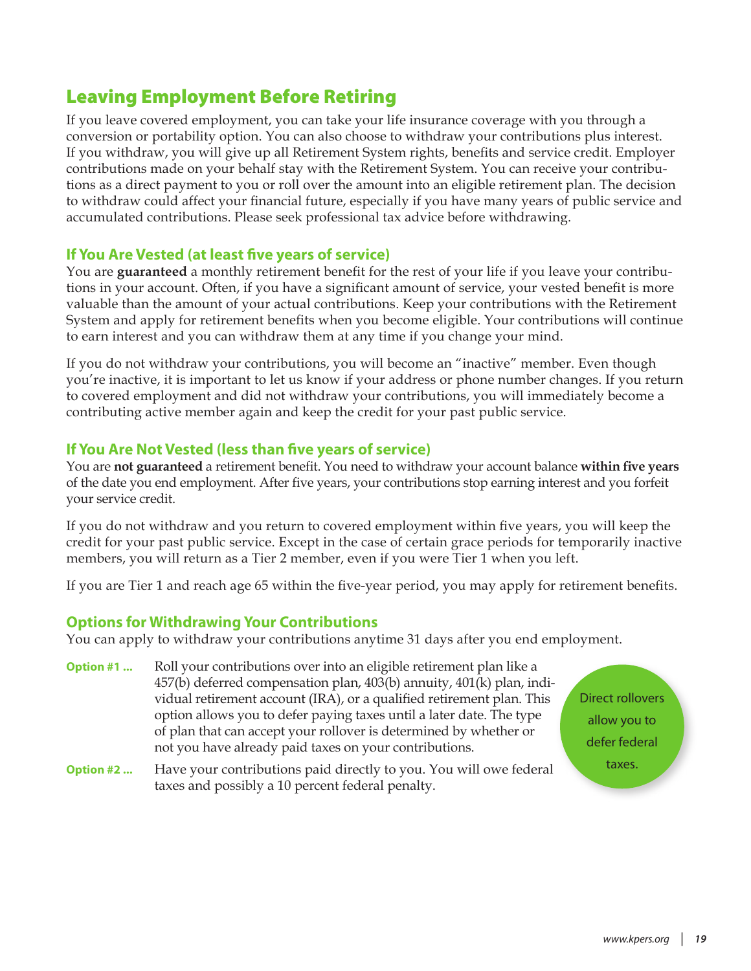# <span id="page-18-0"></span>Leaving Employment Before Retiring

If you leave covered employment, you can take your life insurance coverage with you through a conversion or portability option. You can also choose to withdraw your contributions plus interest. If you withdraw, you will give up all Retirement System rights, benefits and service credit. Employer contributions made on your behalf stay with the Retirement System. You can receive your contributions as a direct payment to you or roll over the amount into an eligible retirement plan. The decision to withdraw could affect your financial future, especially if you have many years of public service and accumulated contributions. Please seek professional tax advice before withdrawing.

## **If You Are Vested (at least five years of service)**

You are **guaranteed** a monthly retirement benefit for the rest of your life if you leave your contributions in your account. Often, if you have a significant amount of service, your vested benefit is more valuable than the amount of your actual contributions. Keep your contributions with the Retirement System and apply for retirement benefits when you become eligible. Your contributions will continue to earn interest and you can withdraw them at any time if you change your mind.

If you do not withdraw your contributions, you will become an "inactive" member. Even though you're inactive, it is important to let us know if your address or phone number changes. If you return to covered employment and did not withdraw your contributions, you will immediately become a contributing active member again and keep the credit for your past public service.

## **If You Are Not Vested (less than five years of service)**

You are **not guaranteed** a retirement benefit. You need to withdraw your account balance **within five years** of the date you end employment. After five years, your contributions stop earning interest and you forfeit your service credit.

If you do not withdraw and you return to covered employment within five years, you will keep the credit for your past public service. Except in the case of certain grace periods for temporarily inactive members, you will return as a Tier 2 member, even if you were Tier 1 when you left.

If you are Tier 1 and reach age 65 within the five-year period, you may apply for retirement benefits.

### **Options for Withdrawing Your Contributions**

You can apply to withdraw your contributions anytime 31 days after you end employment.

- **Option #1 ...** Roll your contributions over into an eligible retirement plan like a 457(b) deferred compensation plan, 403(b) annuity, 401(k) plan, individual retirement account (IRA), or a qualified retirement plan. This option allows you to defer paying taxes until a later date. The type of plan that can accept your rollover is determined by whether or not you have already paid taxes on your contributions.
- **Option #2 ...** Have your contributions paid directly to you. You will owe federal taxes and possibly a 10 percent federal penalty.

Direct rollovers allow you to defer federal taxes.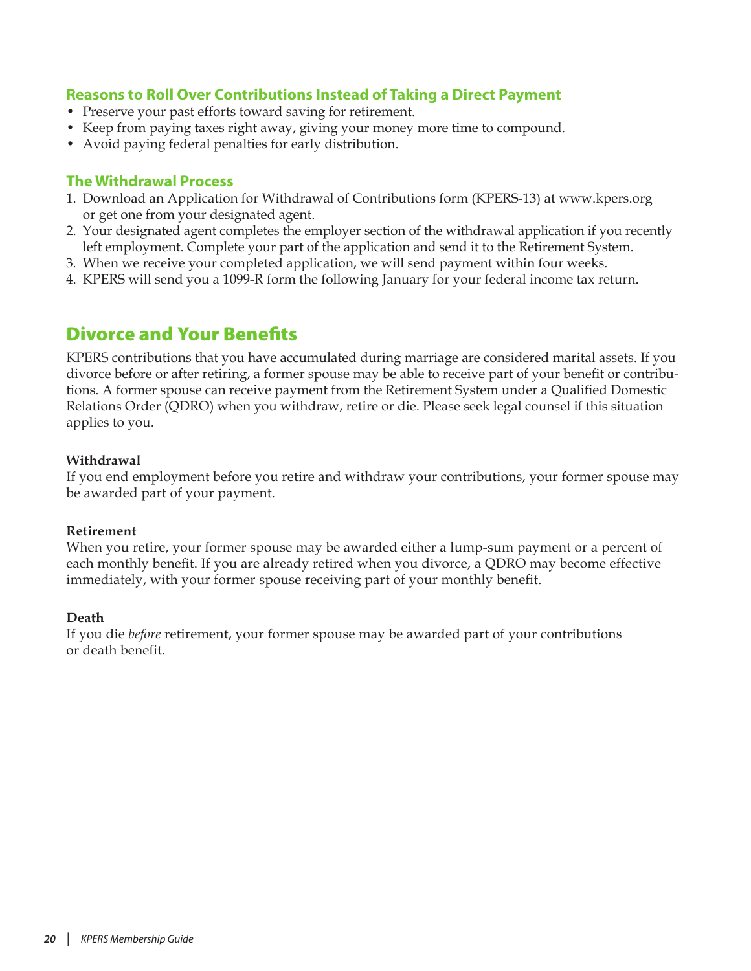# <span id="page-19-0"></span>**Reasons to Roll Over Contributions Instead of Taking a Direct Payment**

- Preserve your past efforts toward saving for retirement.
- Keep from paying taxes right away, giving your money more time to compound.
- Avoid paying federal penalties for early distribution.

#### **The Withdrawal Process**

- 1. Download an Application for Withdrawal of Contributions form (KPERS-13) at www.kpers.org or get one from your designated agent.
- 2. Your designated agent completes the employer section of the withdrawal application if you recently left employment. Complete your part of the application and send it to the Retirement System.
- 3. When we receive your completed application, we will send payment within four weeks.
- 4. KPERS will send you a 1099-R form the following January for your federal income tax return.

# Divorce and Your Benefits

KPERS contributions that you have accumulated during marriage are considered marital assets. If you divorce before or after retiring, a former spouse may be able to receive part of your benefit or contributions. A former spouse can receive payment from the Retirement System under a Qualified Domestic Relations Order (QDRO) when you withdraw, retire or die. Please seek legal counsel if this situation applies to you.

#### **Withdrawal**

If you end employment before you retire and withdraw your contributions, your former spouse may be awarded part of your payment.

#### **Retirement**

When you retire, your former spouse may be awarded either a lump-sum payment or a percent of each monthly benefit. If you are already retired when you divorce, a QDRO may become effective immediately, with your former spouse receiving part of your monthly benefit.

#### **Death**

If you die *before* retirement, your former spouse may be awarded part of your contributions or death benefit.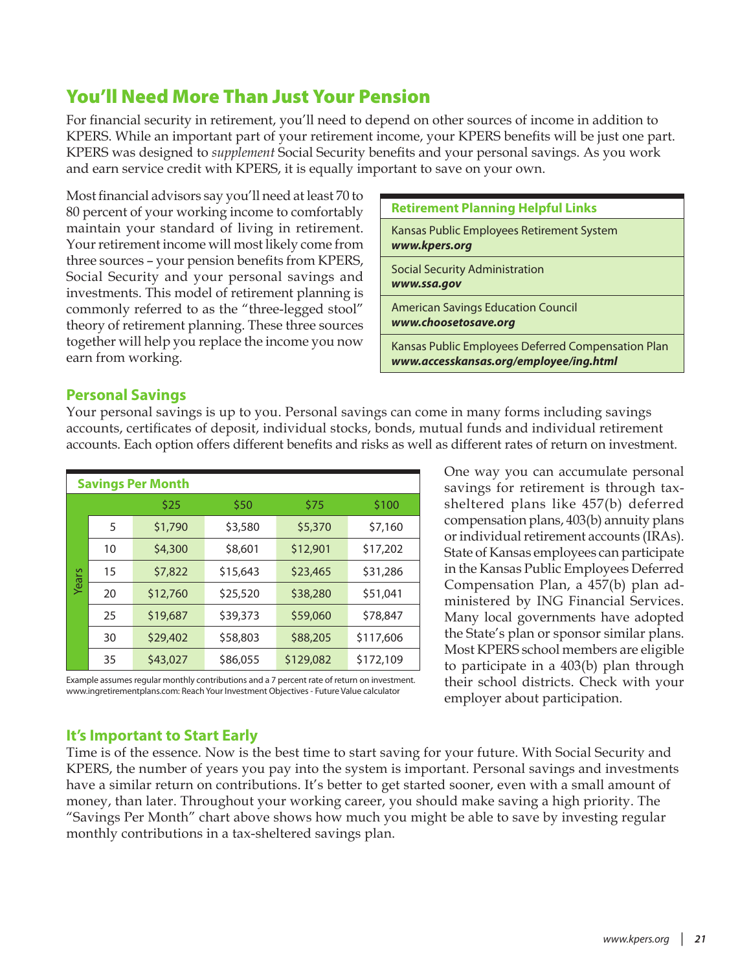# <span id="page-20-0"></span>You'll Need More Than Just Your Pension

For financial security in retirement, you'll need to depend on other sources of income in addition to KPERS. While an important part of your retirement income, your KPERS benefits will be just one part. KPERS was designed to *supplement* Social Security benefits and your personal savings. As you work and earn service credit with KPERS, it is equally important to save on your own.

Most financial advisors say you'll need at least 70 to 80 percent of your working income to comfortably maintain your standard of living in retirement. Your retirement income will most likely come from three sources – your pension benefits from KPERS, Social Security and your personal savings and investments. This model of retirement planning is commonly referred to as the "three-legged stool" theory of retirement planning. These three sources together will help you replace the income you now earn from working.

| <b>Retirement Planning Helpful Links</b>                                                     |
|----------------------------------------------------------------------------------------------|
| Kansas Public Employees Retirement System<br>www.kpers.org                                   |
| <b>Social Security Administration</b><br>www.ssa.gov                                         |
| <b>American Savings Education Council</b><br>www.choosetosave.org                            |
| Kansas Public Employees Deferred Compensation Plan<br>www.accesskansas.org/employee/ing.html |

### **Personal Savings**

Your personal savings is up to you. Personal savings can come in many forms including savings accounts, certificates of deposit, individual stocks, bonds, mutual funds and individual retirement accounts. Each option offers different benefits and risks as well as different rates of return on investment.

|       | <b>Savings Per Month</b> |          |          |           |           |  |  |
|-------|--------------------------|----------|----------|-----------|-----------|--|--|
|       |                          | \$25     | \$50     | \$75      | \$100     |  |  |
|       | 5                        | \$1,790  | \$3,580  | \$5,370   | \$7,160   |  |  |
|       | 10                       | \$4,300  | \$8,601  | \$12,901  | \$17,202  |  |  |
| Years | 15                       | \$7,822  | \$15,643 | \$23,465  | \$31,286  |  |  |
|       | 20                       | \$12,760 | \$25,520 | \$38,280  | \$51,041  |  |  |
|       | 25                       | \$19,687 | \$39,373 | \$59,060  | \$78,847  |  |  |
|       | 30                       | \$29,402 | \$58,803 | \$88,205  | \$117,606 |  |  |
|       | 35                       | \$43,027 | \$86,055 | \$129,082 | \$172,109 |  |  |

compensation plans, 403(b) annuity plans or individual retirement accounts (IRAs). State of Kansas employees can participate in the Kansas Public Employees Deferred Compensation Plan, a 457(b) plan administered by ING Financial Services. Many local governments have adopted the State's plan or sponsor similar plans. Most KPERS school members are eligible to participate in a 403(b) plan through their school districts. Check with your employer about participation.

One way you can accumulate personal savings for retirement is through taxsheltered plans like 457(b) deferred

Example assumes regular monthly contributions and a 7 percent rate of return on investment. www.ingretirementplans.com: Reach Your Investment Objectives - Future Value calculator

### **It's Important to Start Early**

Time is of the essence. Now is the best time to start saving for your future. With Social Security and KPERS, the number of years you pay into the system is important. Personal savings and investments have a similar return on contributions. It's better to get started sooner, even with a small amount of money, than later. Throughout your working career, you should make saving a high priority. The "Savings Per Month" chart above shows how much you might be able to save by investing regular monthly contributions in a tax-sheltered savings plan.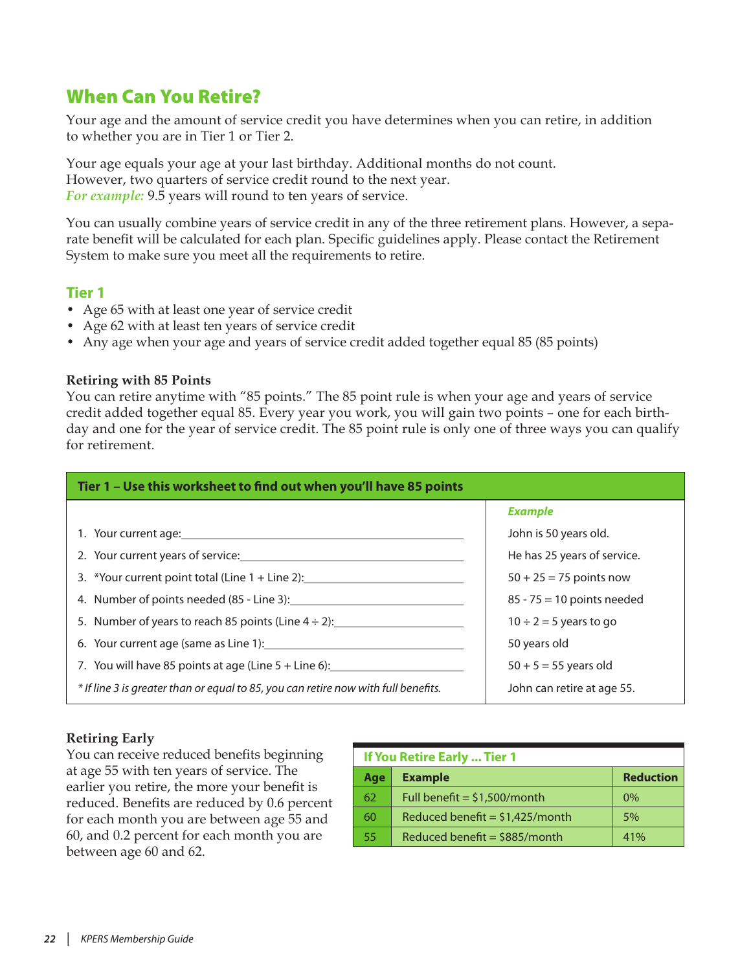# <span id="page-21-0"></span>When Can You Retire?

Your age and the amount of service credit you have determines when you can retire, in addition to whether you are in Tier 1 or Tier 2.

Your age equals your age at your last birthday. Additional months do not count. However, two quarters of service credit round to the next year. *For example:* 9.5 years will round to ten years of service.

You can usually combine years of service credit in any of the three retirement plans. However, a separate benefit will be calculated for each plan. Specific guidelines apply. Please contact the Retirement System to make sure you meet all the requirements to retire.

### **Tier 1**

- Age 65 with at least one year of service credit
- Age 62 with at least ten years of service credit
- Any age when your age and years of service credit added together equal 85 (85 points)

#### **Retiring with 85 Points**

You can retire anytime with "85 points." The 85 point rule is when your age and years of service credit added together equal 85. Every year you work, you will gain two points – one for each birthday and one for the year of service credit. The 85 point rule is only one of three ways you can qualify for retirement.

| Tier 1 - Use this worksheet to find out when you'll have 85 points                 |                              |  |  |  |
|------------------------------------------------------------------------------------|------------------------------|--|--|--|
|                                                                                    | <b>Example</b>               |  |  |  |
|                                                                                    | John is 50 years old.        |  |  |  |
| 2. Your current years of service:                                                  | He has 25 years of service.  |  |  |  |
| 3. *Your current point total (Line $1 +$ Line 2):                                  | $50 + 25 = 75$ points now    |  |  |  |
| 4. Number of points needed (85 - Line 3):                                          | $85 - 75 = 10$ points needed |  |  |  |
| 5. Number of years to reach 85 points (Line $4 \div 2$ ):                          | $10 \div 2 = 5$ years to go  |  |  |  |
|                                                                                    | 50 years old                 |  |  |  |
| 7. You will have 85 points at age (Line $5 +$ Line 6):                             | $50 + 5 = 55$ years old      |  |  |  |
| * If line 3 is greater than or equal to 85, you can retire now with full benefits. | John can retire at age 55.   |  |  |  |

### **Retiring Early**

You can receive reduced benefits beginning at age 55 with ten years of service. The earlier you retire, the more your benefit is reduced. Benefits are reduced by 0.6 percent for each month you are between age 55 and 60, and 0.2 percent for each month you are between age 60 and 62.

| If You Retire Early  Tier 1 |                                   |                  |  |  |
|-----------------------------|-----------------------------------|------------------|--|--|
| Age                         | <b>Example</b>                    | <b>Reduction</b> |  |  |
| 62                          | Full benefit = $$1,500/m$ onth    | $0\%$            |  |  |
| 60                          | Reduced benefit = $$1,425/m$ onth | 5%               |  |  |
| 55                          | Reduced benefit = $$885/m$ onth   | 41%              |  |  |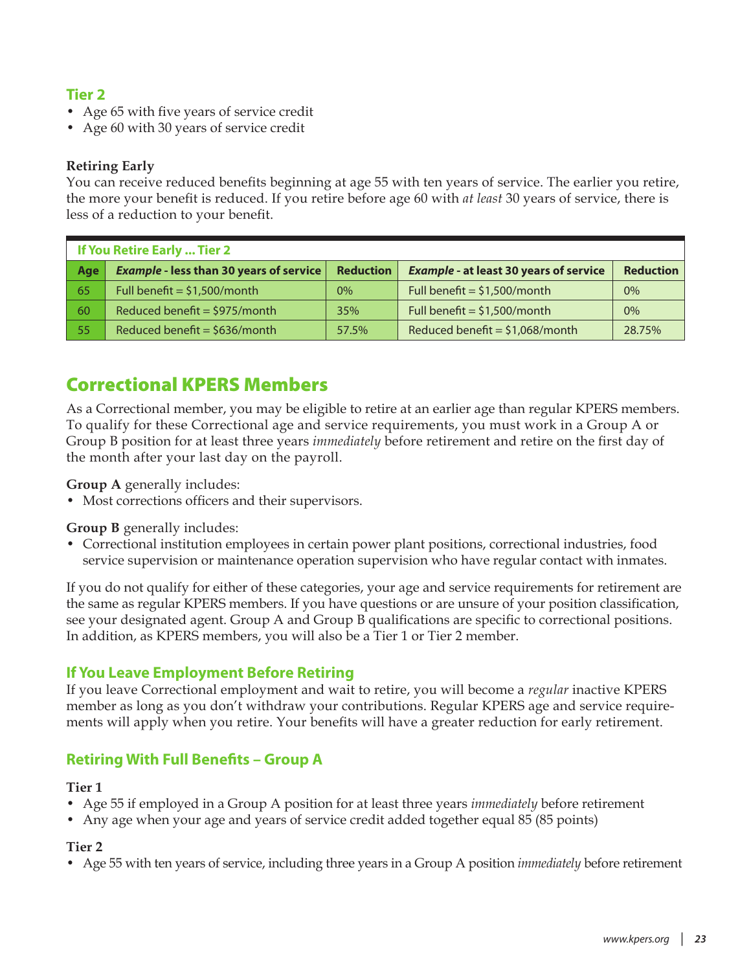# <span id="page-22-0"></span>**Tier 2**

- Age 65 with five years of service credit
- Age 60 with 30 years of service credit

### **Retiring Early**

You can receive reduced benefits beginning at age 55 with ten years of service. The earlier you retire, the more your benefit is reduced. If you retire before age 60 with *at least* 30 years of service, there is less of a reduction to your benefit.

| If You Retire Early  Tier 2 |                                                |                  |                                               |                  |  |
|-----------------------------|------------------------------------------------|------------------|-----------------------------------------------|------------------|--|
| Age                         | <b>Example - less than 30 years of service</b> | <b>Reduction</b> | <b>Example - at least 30 years of service</b> | <b>Reduction</b> |  |
| 65                          | Full benefit = $$1,500/m$ onth                 | $0\%$            | Full benefit = $$1,500/m$ onth                | 0%               |  |
| 60                          | Reduced benefit = $$975/m$ onth                | 35%              | Full benefit = $$1,500/m$ onth                | 0%               |  |
| 55                          | Reduced benefit = $$636/m$ onth                | 57.5%            | Reduced benefit = $$1,068/m$ onth             | 28.75%           |  |

# Correctional KPERS Members

As a Correctional member, you may be eligible to retire at an earlier age than regular KPERS members. To qualify for these Correctional age and service requirements, you must work in a Group A or Group B position for at least three years *immediately* before retirement and retire on the first day of the month after your last day on the payroll.

**Group A** generally includes:

• Most corrections officers and their supervisors.

**Group B** generally includes:

• Correctional institution employees in certain power plant positions, correctional industries, food service supervision or maintenance operation supervision who have regular contact with inmates.

If you do not qualify for either of these categories, your age and service requirements for retirement are the same as regular KPERS members. If you have questions or are unsure of your position classification, see your designated agent. Group A and Group B qualifications are specific to correctional positions. In addition, as KPERS members, you will also be a Tier 1 or Tier 2 member.

### **If You Leave Employment Before Retiring**

If you leave Correctional employment and wait to retire, you will become a *regular* inactive KPERS member as long as you don't withdraw your contributions. Regular KPERS age and service requirements will apply when you retire. Your benefits will have a greater reduction for early retirement.

### **Retiring With Full Benefits – Group A**

### **Tier 1**

- Age 55 if employed in a Group A position for at least three years *immediately* before retirement
- Any age when your age and years of service credit added together equal 85 (85 points)

### **Tier 2**

• Age 55 with ten years of service, including three years in a Group A position *immediately* before retirement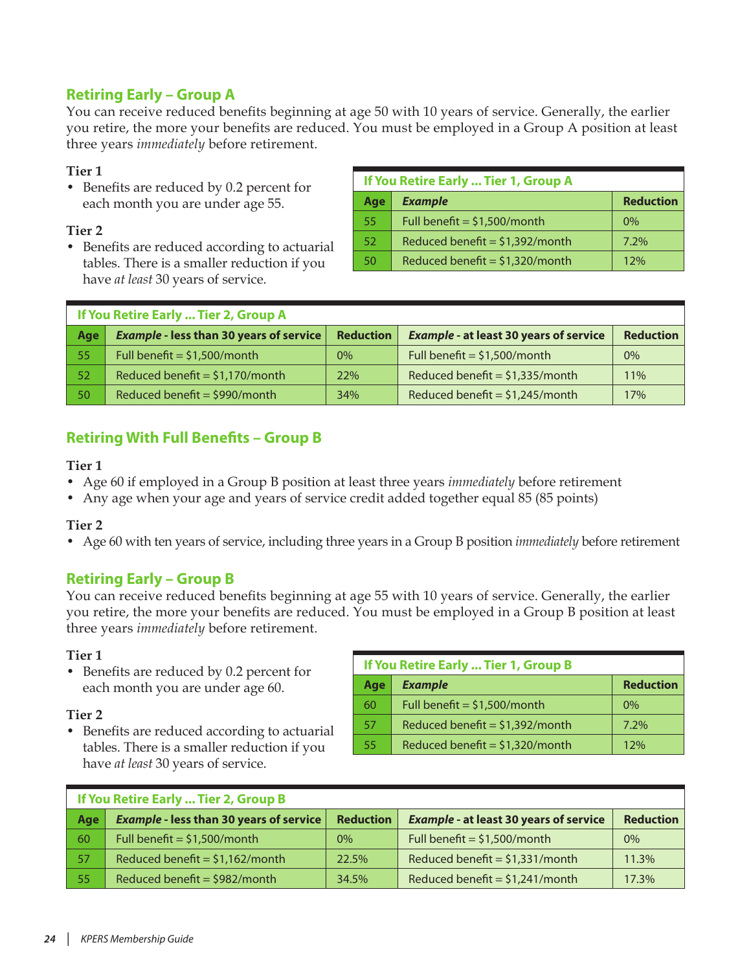# **Retiring Early – Group A**

You can receive reduced benefits beginning at age 50 with 10 years of service. Generally, the earlier you retire, the more your benefits are reduced. You must be employed in a Group A position at least three years *immediately* before retirement.

#### **Tier 1**

• Benefits are reduced by 0.2 percent for each month you are under age 55.

#### **Tier 2**

• Benefits are reduced according to actuarial tables. There is a smaller reduction if you have *at least* 30 years of service.

| If You Retire Early  Tier 1, Group A |                                   |                  |  |  |
|--------------------------------------|-----------------------------------|------------------|--|--|
| Age                                  | <b>Example</b>                    | <b>Reduction</b> |  |  |
| 55                                   | Full benefit = $$1,500/m$ onth    | $0\%$            |  |  |
| 52                                   | Reduced benefit = $$1,392/m$ onth | 7.2%             |  |  |
| 50                                   | Reduced benefit = $$1,320/m$ onth | 12%              |  |  |

| If You Retire Early  Tier 2, Group A |                                                |                  |                                               |                  |  |
|--------------------------------------|------------------------------------------------|------------------|-----------------------------------------------|------------------|--|
| Age                                  | <b>Example - less than 30 years of service</b> | <b>Reduction</b> | <b>Example - at least 30 years of service</b> | <b>Reduction</b> |  |
| 55                                   | Full benefit = $$1,500/m$ onth                 | $0\%$            | Full benefit = $$1,500/m$ onth                | 0%               |  |
| 52 <sub>1</sub>                      | Reduced benefit = $$1,170/m$ onth              | 22%              | Reduced benefit = $$1,335/m$ onth             | 11%              |  |
| 50                                   | Reduced benefit = $$990/m$ onth                | 34%              | Reduced benefit = $$1,245/m$ onth             | 17%              |  |

# **Retiring With Full Benefits – Group B**

#### **Tier 1**

- Age 60 if employed in a Group B position at least three years *immediately* before retirement
- Any age when your age and years of service credit added together equal 85 (85 points)

### **Tier 2**

• Age 60 with ten years of service, including three years in a Group B position *immediately* before retirement

### **Retiring Early – Group B**

You can receive reduced benefits beginning at age 55 with 10 years of service. Generally, the earlier you retire, the more your benefits are reduced. You must be employed in a Group B position at least three years *immediately* before retirement.

#### **Tier 1**

• Benefits are reduced by 0.2 percent for each month you are under age 60.

#### **Tier 2**

• Benefits are reduced according to actuarial tables. There is a smaller reduction if you have *at least* 30 years of service.

| If You Retire Early  Tier 1, Group B |                                   |                  |  |  |
|--------------------------------------|-----------------------------------|------------------|--|--|
| Age                                  | <b>Example</b>                    | <b>Reduction</b> |  |  |
| 60                                   | Full benefit = $$1,500/m$ onth    | $0\%$            |  |  |
| 57                                   | Reduced benefit = $$1,392/m$ onth | $7.2\%$          |  |  |
| 55                                   | Reduced benefit = $$1,320/m$ onth | 12%              |  |  |

| If You Retire Early  Tier 2, Group B |                                                |                  |                                               |                  |  |
|--------------------------------------|------------------------------------------------|------------------|-----------------------------------------------|------------------|--|
| Age                                  | <b>Example - less than 30 years of service</b> | <b>Reduction</b> | <b>Example - at least 30 years of service</b> | <b>Reduction</b> |  |
| 60                                   | Full benefit = $$1,500/m$ onth                 | $0\%$            | Full benefit = $$1,500/m$ onth                | 0%               |  |
| 57                                   | Reduced benefit = $$1,162/m$ onth              | 22.5%            | Reduced benefit = $$1,331/m$ onth             | 11.3%            |  |
| 55                                   | Reduced benefit = \$982/month                  | 34.5%            | Reduced benefit = $$1,241/m$ onth             | 17.3%            |  |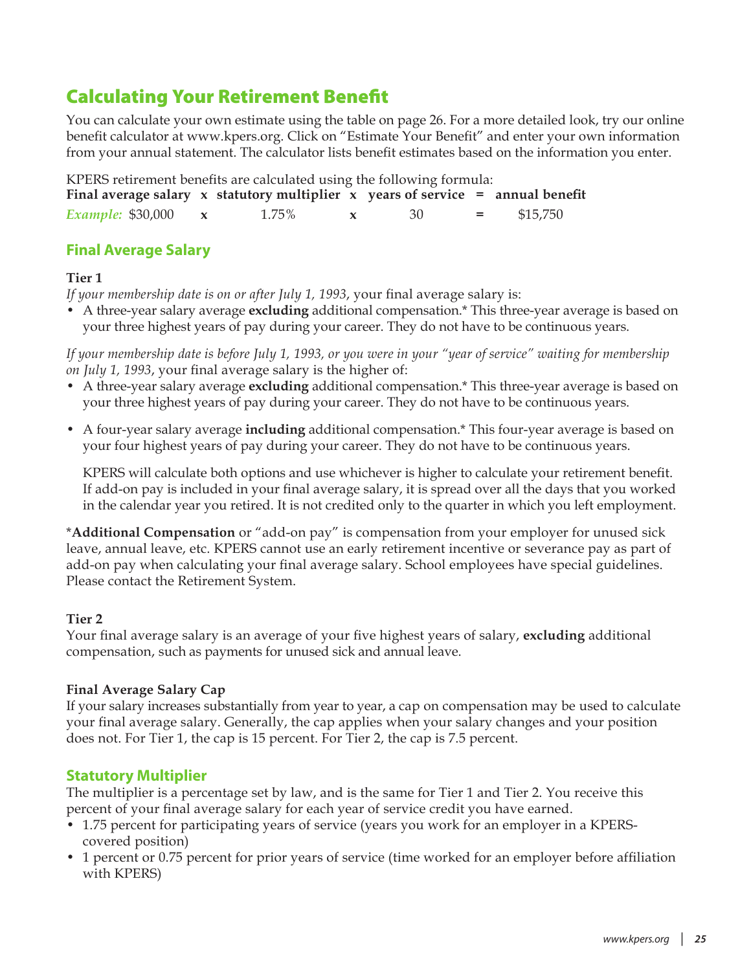# <span id="page-24-0"></span>Calculating Your Retirement Benefit

You can calculate your own estimate using the table on [page 26](#page-25-1). For a more detailed look, try our online benefit calculator at www.kpers.org. Click on "Estimate Your Benefit" and enter your own information from your annual statement. The calculator lists benefit estimates based on the information you enter.

| KPERS retirement benefits are calculated using the following formula: |  |                                                                                       |  |     |         |          |
|-----------------------------------------------------------------------|--|---------------------------------------------------------------------------------------|--|-----|---------|----------|
|                                                                       |  | Final average salary $x$ statutory multiplier $x$ years of service $=$ annual benefit |  |     |         |          |
| <i>Example:</i> \$30,000 $\mathbf{x}$                                 |  | 1.75%                                                                                 |  | -30 | $=$ $-$ | \$15,750 |

# **Final Average Salary**

### **Tier 1**

*If your membership date is on or after July 1, 1993*, your final average salary is:

• A three-year salary average **excluding** additional compensation.\* This three-year average is based on your three highest years of pay during your career. They do not have to be continuous years.

*If your membership date is before July 1, 1993, or you were in your "year of service" waiting for membership on July 1, 1993*, your final average salary is the higher of:

- A three-year salary average **excluding** additional compensation.\* This three-year average is based on your three highest years of pay during your career. They do not have to be continuous years.
- A four-year salary average **including** additional compensation.\* This four-year average is based on your four highest years of pay during your career. They do not have to be continuous years.

KPERS will calculate both options and use whichever is higher to calculate your retirement benefit. If add-on pay is included in your final average salary, it is spread over all the days that you worked in the calendar year you retired. It is not credited only to the quarter in which you left employment.

\***Additional Compensation** or "add-on pay" is compensation from your employer for unused sick leave, annual leave, etc. KPERS cannot use an early retirement incentive or severance pay as part of add-on pay when calculating your final average salary. School employees have special guidelines. Please contact the Retirement System.

### **Tier 2**

Your final average salary is an average of your five highest years of salary, **excluding** additional compensation, such as payments for unused sick and annual leave.

### **Final Average Salary Cap**

If your salary increases substantially from year to year, a cap on compensation may be used to calculate your final average salary. Generally, the cap applies when your salary changes and your position does not. For Tier 1, the cap is 15 percent. For Tier 2, the cap is 7.5 percent.

### **Statutory Multiplier**

The multiplier is a percentage set by law, and is the same for Tier 1 and Tier 2. You receive this percent of your final average salary for each year of service credit you have earned.

- 1.75 percent for participating years of service (years you work for an employer in a KPERScovered position)
- 1 percent or 0.75 percent for prior years of service (time worked for an employer before affiliation with KPERS)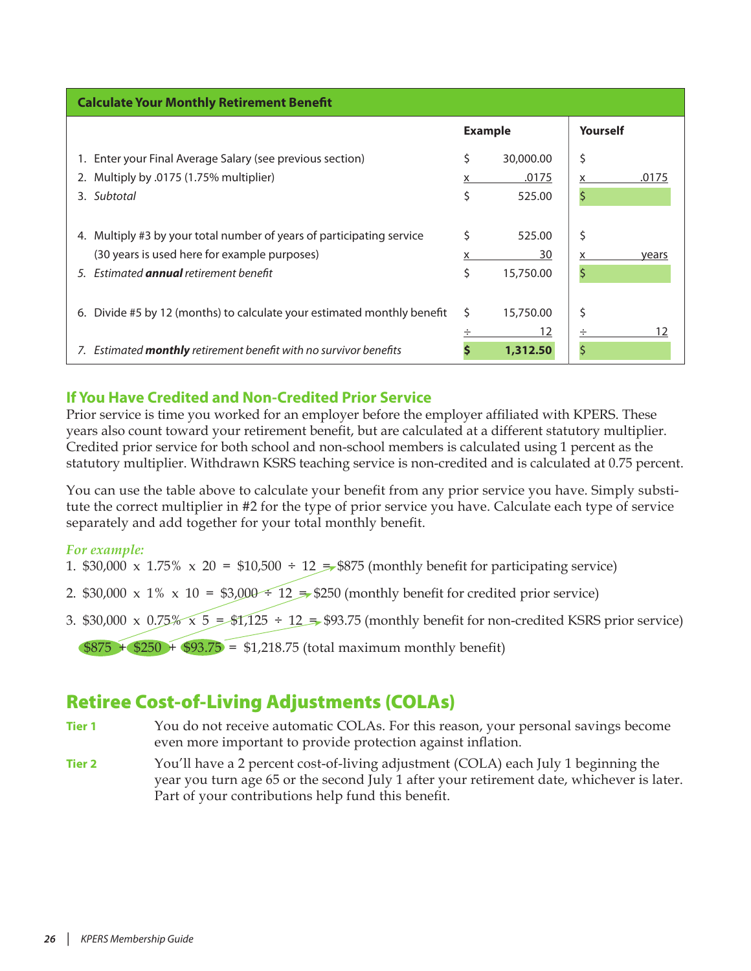<span id="page-25-1"></span><span id="page-25-0"></span>

| <b>Calculate Your Monthly Retirement Benefit</b>                           |                |           |          |       |  |  |
|----------------------------------------------------------------------------|----------------|-----------|----------|-------|--|--|
|                                                                            | <b>Example</b> |           | Yourself |       |  |  |
| 1. Enter your Final Average Salary (see previous section)                  | \$             | 30,000.00 | \$       |       |  |  |
| 2. Multiply by .0175 (1.75% multiplier)                                    | x              | .0175     | х        | .0175 |  |  |
| 3. Subtotal                                                                | \$             | 525.00    | \$       |       |  |  |
|                                                                            |                |           |          |       |  |  |
| Multiply #3 by your total number of years of participating service<br>4.   | Ś              | 525.00    | \$       |       |  |  |
| (30 years is used here for example purposes)                               |                | 30        |          | years |  |  |
| 5. Estimated <b>annual</b> retirement benefit                              | \$             | 15,750.00 | \$       |       |  |  |
|                                                                            |                |           |          |       |  |  |
| Divide #5 by 12 (months) to calculate your estimated monthly benefit<br>6. | Ś              | 15,750.00 | \$       |       |  |  |
|                                                                            |                | 12        | ÷        | 12    |  |  |
| 7. Estimated monthly retirement benefit with no survivor benefits          |                | 1,312.50  |          |       |  |  |

# **If You Have Credited and Non-Credited Prior Service**

Prior service is time you worked for an employer before the employer affiliated with KPERS. These years also count toward your retirement benefit, but are calculated at a different statutory multiplier. Credited prior service for both school and non-school members is calculated using 1 percent as the statutory multiplier. Withdrawn KSRS teaching service is non-credited and is calculated at 0.75 percent.

You can use the table above to calculate your benefit from any prior service you have. Simply substitute the correct multiplier in #2 for the type of prior service you have. Calculate each type of service separately and add together for your total monthly benefit.

### *For example:*

- 1. \$30,000 x 1.75% x 20 = \$10,500 ÷ 12  $\neq$  \$875 (monthly benefit for participating service)
- 2. \$30,000 x 1% x 10 = \$3,000  $\div$  12 = \$250 (monthly benefit for credited prior service)
- 3. \$30,000 x  $0.75\%$  x 5 = \$1,125 ÷ 12 = \$93.75 (monthly benefit for non-credited KSRS prior service)

 $$875 + $250 + $93.75 = $1,218.75$  (total maximum monthly benefit)

# Retiree Cost-of-Living Adjustments (COLAs)

- **Tier 1** You do not receive automatic COLAs. For this reason, your personal savings become even more important to provide protection against inflation.
- **Tier 2** You'll have a 2 percent cost-of-living adjustment (COLA) each July 1 beginning the year you turn age 65 or the second July 1 after your retirement date, whichever is later. Part of your contributions help fund this benefit.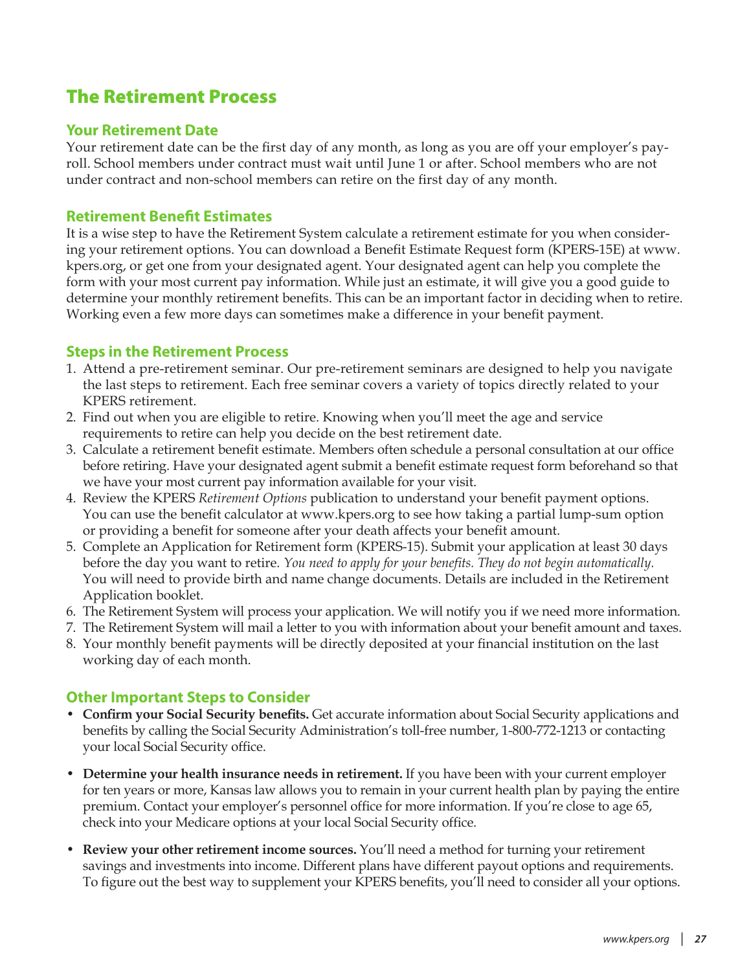# <span id="page-26-0"></span>The Retirement Process

### **Your Retirement Date**

Your retirement date can be the first day of any month, as long as you are off your employer's payroll. School members under contract must wait until June 1 or after. School members who are not under contract and non-school members can retire on the first day of any month.

### **Retirement Benefit Estimates**

It is a wise step to have the Retirement System calculate a retirement estimate for you when considering your retirement options. You can download a Benefit Estimate Request form (KPERS-15E) at www. kpers.org, or get one from your designated agent. Your designated agent can help you complete the form with your most current pay information. While just an estimate, it will give you a good guide to determine your monthly retirement benefits. This can be an important factor in deciding when to retire. Working even a few more days can sometimes make a difference in your benefit payment.

### **Steps in the Retirement Process**

- 1. Attend a pre-retirement seminar. Our pre-retirement seminars are designed to help you navigate the last steps to retirement. Each free seminar covers a variety of topics directly related to your KPERS retirement.
- 2. Find out when you are eligible to retire. Knowing when you'll meet the age and service requirements to retire can help you decide on the best retirement date.
- 3. Calculate a retirement benefit estimate. Members often schedule a personal consultation at our office before retiring. Have your designated agent submit a benefit estimate request form beforehand so that we have your most current pay information available for your visit.
- 4. Review the KPERS *Retirement Options* publication to understand your benefit payment options. You can use the benefit calculator at www.kpers.org to see how taking a partial lump-sum option or providing a benefit for someone after your death affects your benefit amount.
- 5. Complete an Application for Retirement form (KPERS-15). Submit your application at least 30 days before the day you want to retire. *You need to apply for your benefits. They do not begin automatically.* You will need to provide birth and name change documents. Details are included in the Retirement Application booklet.
- 6. The Retirement System will process your application. We will notify you if we need more information.
- 7. The Retirement System will mail a letter to you with information about your benefit amount and taxes.
- 8. Your monthly benefit payments will be directly deposited at your financial institution on the last working day of each month.

### **Other Important Steps to Consider**

- **Confirm your Social Security benefits.** Get accurate information about Social Security applications and benefits by calling the Social Security Administration's toll-free number, 1-800-772-1213 or contacting your local Social Security office.
- **Determine your health insurance needs in retirement.** If you have been with your current employer for ten years or more, Kansas law allows you to remain in your current health plan by paying the entire premium. Contact your employer's personnel office for more information. If you're close to age 65, check into your Medicare options at your local Social Security office.
- **Review your other retirement income sources.** You'll need a method for turning your retirement savings and investments into income. Different plans have different payout options and requirements. To figure out the best way to supplement your KPERS benefits, you'll need to consider all your options.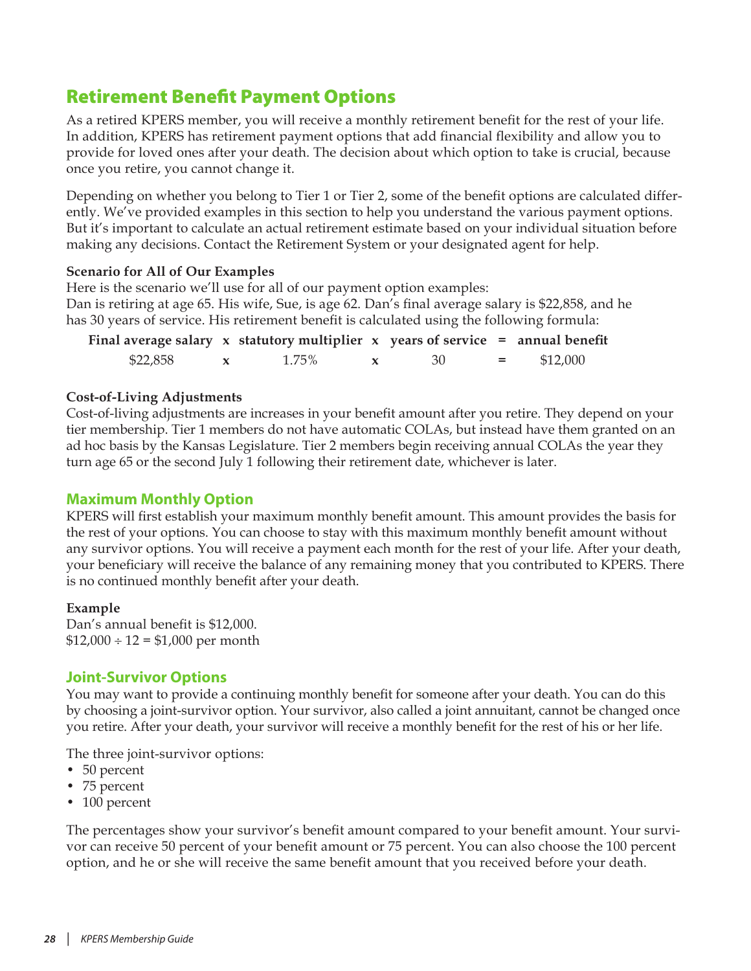# <span id="page-27-0"></span>Retirement Benefit Payment Options

As a retired KPERS member, you will receive a monthly retirement benefit for the rest of your life. In addition, KPERS has retirement payment options that add financial flexibility and allow you to provide for loved ones after your death. The decision about which option to take is crucial, because once you retire, you cannot change it.

Depending on whether you belong to Tier 1 or Tier 2, some of the benefit options are calculated differently. We've provided examples in this section to help you understand the various payment options. But it's important to calculate an actual retirement estimate based on your individual situation before making any decisions. Contact the Retirement System or your designated agent for help.

#### **Scenario for All of Our Examples**

Here is the scenario we'll use for all of our payment option examples: Dan is retiring at age 65. His wife, Sue, is age 62. Dan's final average salary is \$22,858, and he has 30 years of service. His retirement benefit is calculated using the following formula:

| Final average salary $x$ statutory multiplier $x$ years of service $=$ annual benefit |       |                      |         |          |
|---------------------------------------------------------------------------------------|-------|----------------------|---------|----------|
| \$22,858                                                                              | 1.75% | - 30<br>$\mathbf{x}$ | $=$ $-$ | \$12,000 |

### **Cost-of-Living Adjustments**

Cost-of-living adjustments are increases in your benefit amount after you retire. They depend on your tier membership. Tier 1 members do not have automatic COLAs, but instead have them granted on an ad hoc basis by the Kansas Legislature. Tier 2 members begin receiving annual COLAs the year they turn age 65 or the second July 1 following their retirement date, whichever is later.

### **Maximum Monthly Option**

KPERS will first establish your maximum monthly benefit amount. This amount provides the basis for the rest of your options. You can choose to stay with this maximum monthly benefit amount without any survivor options. You will receive a payment each month for the rest of your life. After your death, your beneficiary will receive the balance of any remaining money that you contributed to KPERS. There is no continued monthly benefit after your death.

#### **Example**

Dan's annual benefit is \$12,000.  $$12,000 \div 12 = $1,000$  per month

### **Joint-Survivor Options**

You may want to provide a continuing monthly benefit for someone after your death. You can do this by choosing a joint-survivor option. Your survivor, also called a joint annuitant, cannot be changed once you retire. After your death, your survivor will receive a monthly benefit for the rest of his or her life.

The three joint-survivor options:

- 50 percent
- 75 percent
- 100 percent

The percentages show your survivor's benefit amount compared to your benefit amount. Your survivor can receive 50 percent of your benefit amount or 75 percent. You can also choose the 100 percent option, and he or she will receive the same benefit amount that you received before your death.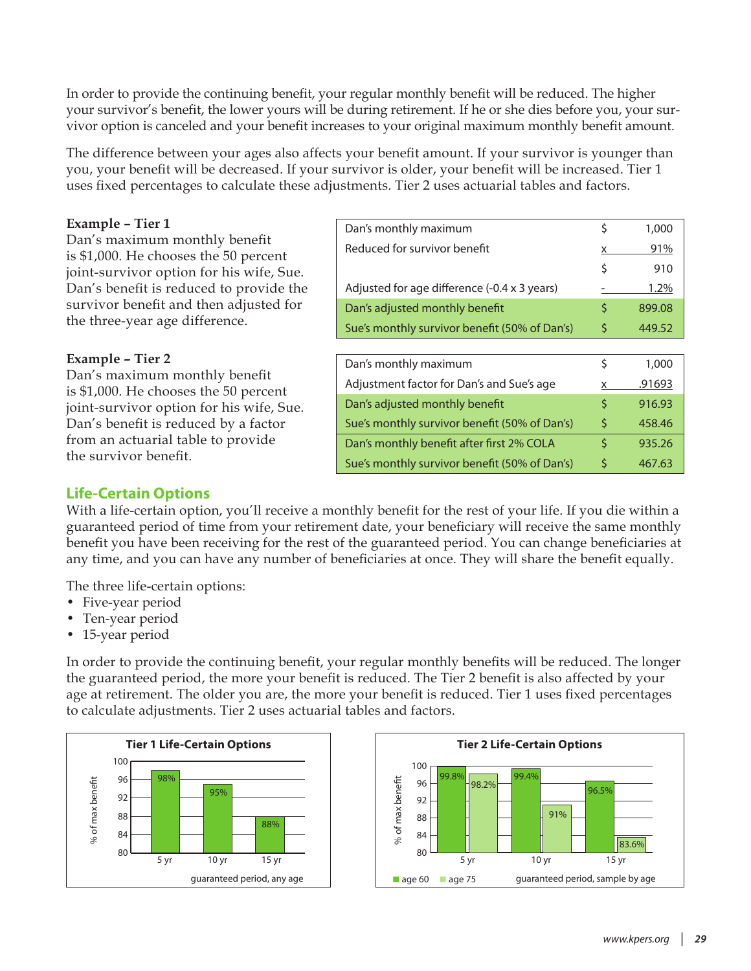In order to provide the continuing benefit, your regular monthly benefit will be reduced. The higher your survivor's benefit, the lower yours will be during retirement. If he or she dies before you, your survivor option is canceled and your benefit increases to your original maximum monthly benefit amount.

The difference between your ages also affects your benefit amount. If your survivor is younger than you, your benefit will be decreased. If your survivor is older, your benefit will be increased. Tier 1 uses fixed percentages to calculate these adjustments. Tier 2 uses actuarial tables and factors.

#### **Example – Tier 1**

Dan's maximum monthly benefit is \$1,000. He chooses the 50 percent joint-survivor option for his wife, Sue. Dan's benefit is reduced to provide the survivor benefit and then adjusted for the three-year age difference.

#### **Example – Tier 2**

Dan's maximum monthly benefit is \$1,000. He chooses the 50 percent joint-survivor option for his wife, Sue. Dan's benefit is reduced by a factor from an actuarial table to provide the survivor benefit.

| Dan's monthly maximum                         | \$ | 1,000  |
|-----------------------------------------------|----|--------|
| Reduced for survivor benefit                  | x  | 91%    |
|                                               | \$ | 910    |
| Adjusted for age difference (-0.4 x 3 years)  |    | 1.2%   |
| Dan's adjusted monthly benefit                | \$ | 899.08 |
| Sue's monthly survivor benefit (50% of Dan's) | \$ | 449.52 |
|                                               |    |        |
| Dan's monthly maximum                         | \$ | 1,000  |
| Adjustment factor for Dan's and Sue's age     | X. | .91693 |
| Dan's adjusted monthly benefit                | \$ | 916.93 |
| Sue's monthly survivor benefit (50% of Dan's) | \$ | 458.46 |
| Dan's monthly benefit after first 2% COLA     | Ś  | 935.26 |
| Sue's monthly survivor benefit (50% of Dan's) | \$ | 467.63 |

### **Life-Certain Options**

With a life-certain option, you'll receive a monthly benefit for the rest of your life. If you die within a guaranteed period of time from your retirement date, your beneficiary will receive the same monthly benefit you have been receiving for the rest of the guaranteed period. You can change beneficiaries at any time, and you can have any number of beneficiaries at once. They will share the benefit equally.

The three life-certain options:

- Five-year period
- Ten-year period
- 15-year period

In order to provide the continuing benefit, your regular monthly benefits will be reduced. The longer the guaranteed period, the more your benefit is reduced. The Tier 2 benefit is also affected by your age at retirement. The older you are, the more your benefit is reduced. Tier 1 uses fixed percentages to calculate adjustments. Tier 2 uses actuarial tables and factors.



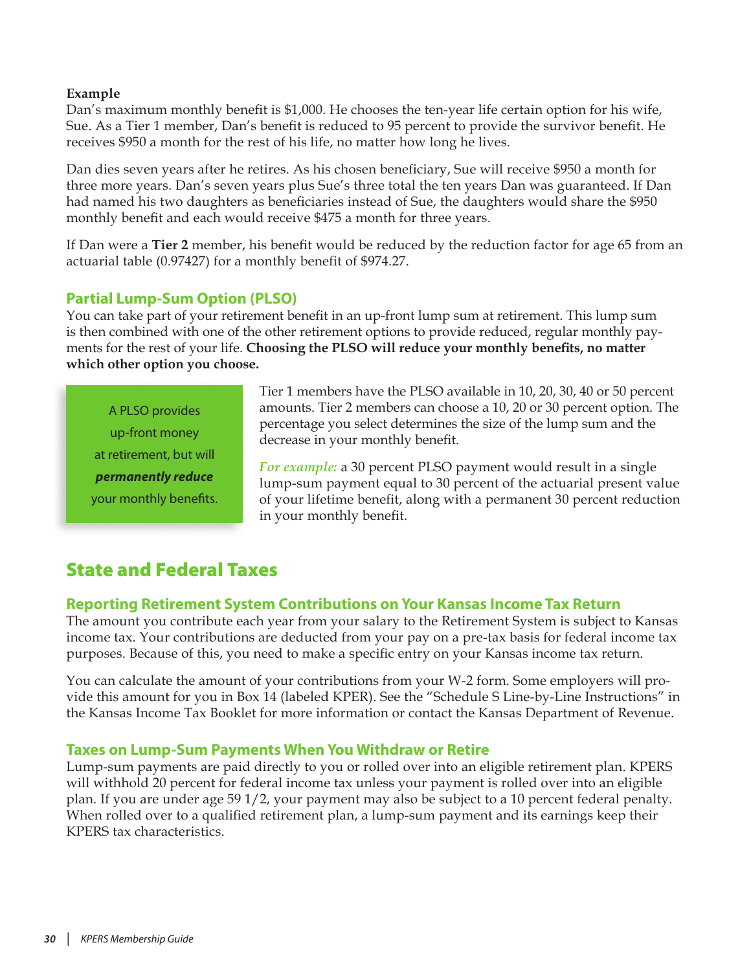### <span id="page-29-0"></span>**Example**

Dan's maximum monthly benefit is \$1,000. He chooses the ten-year life certain option for his wife, Sue. As a Tier 1 member, Dan's benefit is reduced to 95 percent to provide the survivor benefit. He receives \$950 a month for the rest of his life, no matter how long he lives.

Dan dies seven years after he retires. As his chosen beneficiary, Sue will receive \$950 a month for three more years. Dan's seven years plus Sue's three total the ten years Dan was guaranteed. If Dan had named his two daughters as beneficiaries instead of Sue, the daughters would share the \$950 monthly benefit and each would receive \$475 a month for three years.

If Dan were a **Tier 2** member, his benefit would be reduced by the reduction factor for age 65 from an actuarial table (0.97427) for a monthly benefit of \$974.27.

### **Partial Lump-Sum Option (PLSO)**

You can take part of your retirement benefit in an up-front lump sum at retirement. This lump sum is then combined with one of the other retirement options to provide reduced, regular monthly payments for the rest of your life. **Choosing the PLSO will reduce your monthly benefits, no matter which other option you choose.** 

A PLSO provides up-front money at retirement, but will *permanently reduce* your monthly benefits. Tier 1 members have the PLSO available in 10, 20, 30, 40 or 50 percent amounts. Tier 2 members can choose a 10, 20 or 30 percent option. The percentage you select determines the size of the lump sum and the decrease in your monthly benefit.

*For example:* a 30 percent PLSO payment would result in a single lump-sum payment equal to 30 percent of the actuarial present value of your lifetime benefit, along with a permanent 30 percent reduction in your monthly benefit.

# <span id="page-29-1"></span>State and Federal Taxes

### **Reporting Retirement System Contributions on Your Kansas Income Tax Return**

The amount you contribute each year from your salary to the Retirement System is subject to Kansas income tax. Your contributions are deducted from your pay on a pre-tax basis for federal income tax purposes. Because of this, you need to make a specific entry on your Kansas income tax return.

You can calculate the amount of your contributions from your W-2 form. Some employers will provide this amount for you in Box 14 (labeled KPER). See the "Schedule S Line-by-Line Instructions" in the Kansas Income Tax Booklet for more information or contact the Kansas Department of Revenue.

### **Taxes on Lump-Sum Payments When You Withdraw or Retire**

Lump-sum payments are paid directly to you or rolled over into an eligible retirement plan. KPERS will withhold 20 percent for federal income tax unless your payment is rolled over into an eligible plan. If you are under age 59 1/2, your payment may also be subject to a 10 percent federal penalty. When rolled over to a qualified retirement plan, a lump-sum payment and its earnings keep their KPERS tax characteristics.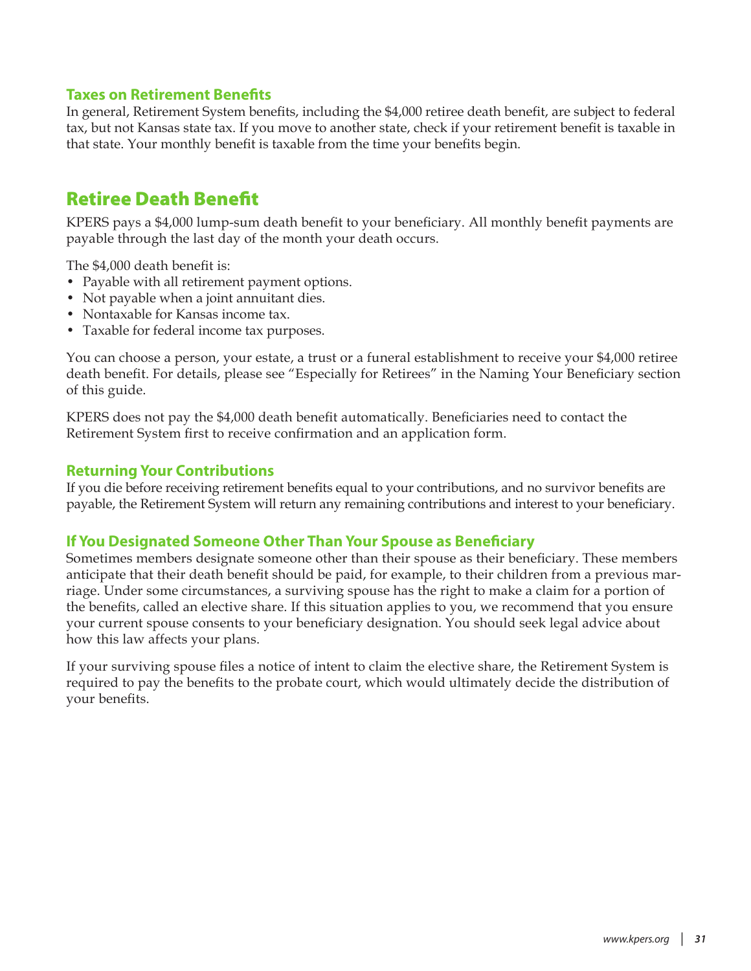### <span id="page-30-0"></span>**Taxes on Retirement Benefits**

In general, Retirement System benefits, including the \$4,000 retiree death benefit, are subject to federal tax, but not Kansas state tax. If you move to another state, check if your retirement benefit is taxable in that state. Your monthly benefit is taxable from the time your benefits begin.

# Retiree Death Benefit

KPERS pays a \$4,000 lump-sum death benefit to your beneficiary. All monthly benefit payments are payable through the last day of the month your death occurs.

The \$4,000 death benefit is:

- Payable with all retirement payment options.
- Not payable when a joint annuitant dies.
- Nontaxable for Kansas income tax.
- Taxable for federal income tax purposes.

You can choose a person, your estate, a trust or a funeral establishment to receive your \$4,000 retiree death benefit. For details, please see "Especially for Retirees" in the Naming Your Beneficiary section of this guide.

KPERS does not pay the \$4,000 death benefit automatically. Beneficiaries need to contact the Retirement System first to receive confirmation and an application form.

### **Returning Your Contributions**

If you die before receiving retirement benefits equal to your contributions, and no survivor benefits are payable, the Retirement System will return any remaining contributions and interest to your beneficiary.

### **If You Designated Someone Other Than Your Spouse as Beneficiary**

Sometimes members designate someone other than their spouse as their beneficiary. These members anticipate that their death benefit should be paid, for example, to their children from a previous marriage. Under some circumstances, a surviving spouse has the right to make a claim for a portion of the benefits, called an elective share. If this situation applies to you, we recommend that you ensure your current spouse consents to your beneficiary designation. You should seek legal advice about how this law affects your plans.

If your surviving spouse files a notice of intent to claim the elective share, the Retirement System is required to pay the benefits to the probate court, which would ultimately decide the distribution of your benefits.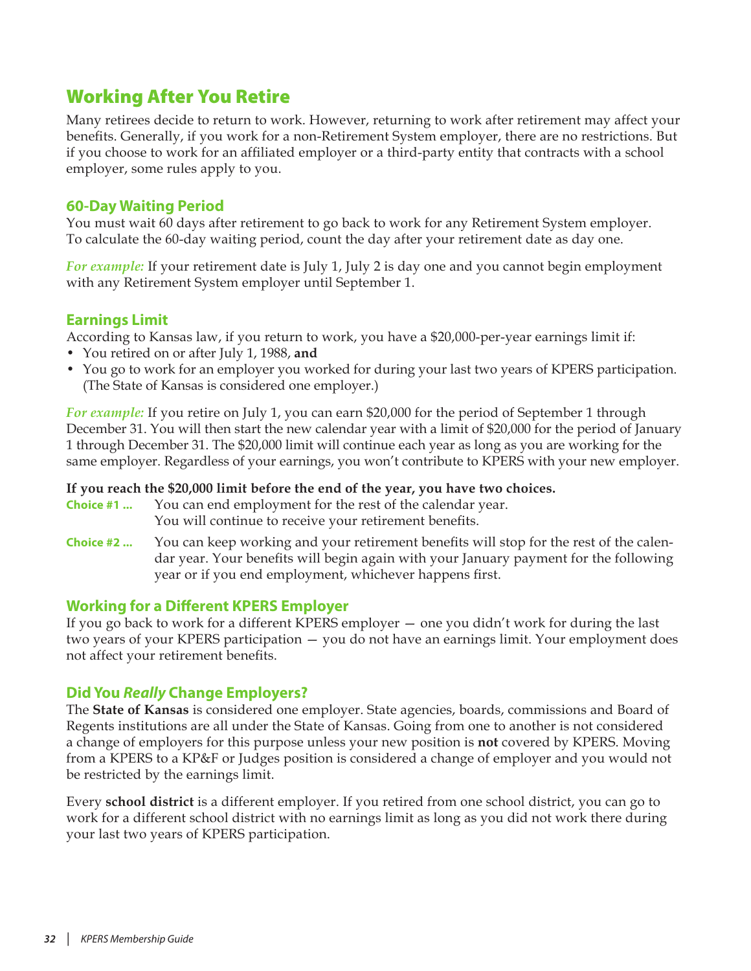# <span id="page-31-0"></span>Working After You Retire

Many retirees decide to return to work. However, returning to work after retirement may affect your benefits. Generally, if you work for a non-Retirement System employer, there are no restrictions. But if you choose to work for an affiliated employer or a third-party entity that contracts with a school employer, some rules apply to you.

### **60-Day Waiting Period**

You must wait 60 days after retirement to go back to work for any Retirement System employer. To calculate the 60-day waiting period, count the day after your retirement date as day one.

*For example:* If your retirement date is July 1, July 2 is day one and you cannot begin employment with any Retirement System employer until September 1.

### **Earnings Limit**

According to Kansas law, if you return to work, you have a \$20,000-per-year earnings limit if:

- You retired on or after July 1, 1988, **and**
- You go to work for an employer you worked for during your last two years of KPERS participation. (The State of Kansas is considered one employer.)

*For example:* If you retire on July 1, you can earn \$20,000 for the period of September 1 through December 31. You will then start the new calendar year with a limit of \$20,000 for the period of January 1 through December 31. The \$20,000 limit will continue each year as long as you are working for the same employer. Regardless of your earnings, you won't contribute to KPERS with your new employer.

#### **If you reach the \$20,000 limit before the end of the year, you have two choices.**

**Choice #1 ...** You can end employment for the rest of the calendar year.

- You will continue to receive your retirement benefits.
- **Choice #2 ...** You can keep working and your retirement benefits will stop for the rest of the calendar year. Your benefits will begin again with your January payment for the following year or if you end employment, whichever happens first.

### **Working for a Different KPERS Employer**

If you go back to work for a different KPERS employer — one you didn't work for during the last two years of your KPERS participation — you do not have an earnings limit. Your employment does not affect your retirement benefits.

### **Did You** *Really* **Change Employers?**

The **State of Kansas** is considered one employer. State agencies, boards, commissions and Board of Regents institutions are all under the State of Kansas. Going from one to another is not considered a change of employers for this purpose unless your new position is **not** covered by KPERS. Moving from a KPERS to a KP&F or Judges position is considered a change of employer and you would not be restricted by the earnings limit.

Every **school district** is a different employer. If you retired from one school district, you can go to work for a different school district with no earnings limit as long as you did not work there during your last two years of KPERS participation.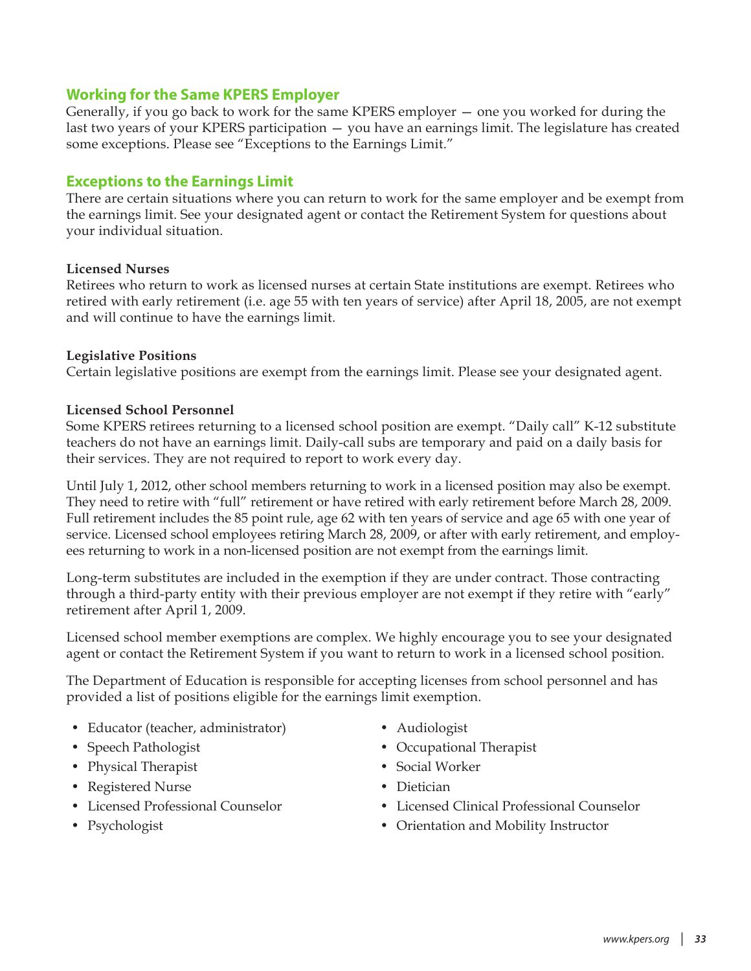### **Working for the Same KPERS Employer**

Generally, if you go back to work for the same KPERS employer — one you worked for during the last two years of your KPERS participation — you have an earnings limit. The legislature has created some exceptions. Please see "Exceptions to the Earnings Limit."

### **Exceptions to the Earnings Limit**

There are certain situations where you can return to work for the same employer and be exempt from the earnings limit. See your designated agent or contact the Retirement System for questions about your individual situation.

#### **Licensed Nurses**

Retirees who return to work as licensed nurses at certain State institutions are exempt. Retirees who retired with early retirement (i.e. age 55 with ten years of service) after April 18, 2005, are not exempt and will continue to have the earnings limit.

#### **Legislative Positions**

Certain legislative positions are exempt from the earnings limit. Please see your designated agent.

#### **Licensed School Personnel**

Some KPERS retirees returning to a licensed school position are exempt. "Daily call" K-12 substitute teachers do not have an earnings limit. Daily-call subs are temporary and paid on a daily basis for their services. They are not required to report to work every day.

Until July 1, 2012, other school members returning to work in a licensed position may also be exempt. They need to retire with "full" retirement or have retired with early retirement before March 28, 2009. Full retirement includes the 85 point rule, age 62 with ten years of service and age 65 with one year of service. Licensed school employees retiring March 28, 2009, or after with early retirement, and employees returning to work in a non-licensed position are not exempt from the earnings limit.

Long-term substitutes are included in the exemption if they are under contract. Those contracting through a third-party entity with their previous employer are not exempt if they retire with "early" retirement after April 1, 2009.

Licensed school member exemptions are complex. We highly encourage you to see your designated agent or contact the Retirement System if you want to return to work in a licensed school position.

The Department of Education is responsible for accepting licenses from school personnel and has provided a list of positions eligible for the earnings limit exemption.

- Educator (teacher, administrator) Audiologist
- 
- Physical Therapist Social Worker
- Registered Nurse Dietician
- 
- 
- 
- Speech Pathologist Occupational Therapist
	-
	-
- Licensed Professional Counselor Licensed Clinical Professional Counselor
- Psychologist Orientation and Mobility Instructor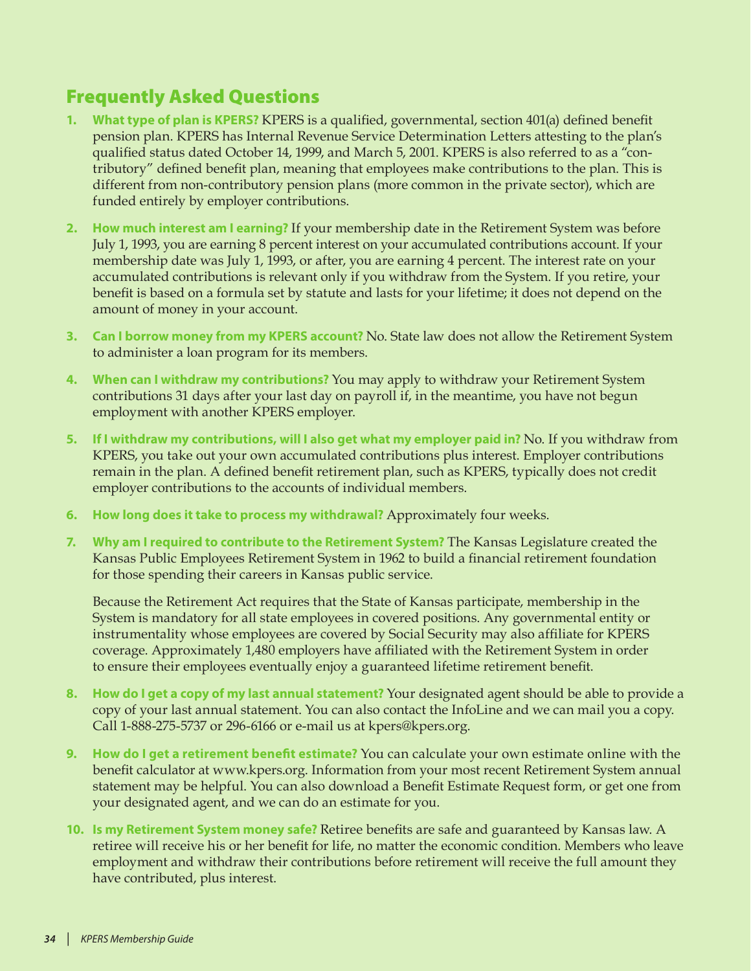# <span id="page-33-0"></span>Frequently Asked Questions

- **1. What type of plan is KPERS?** KPERS is a qualified, governmental, section 401(a) defined benefit pension plan. KPERS has Internal Revenue Service Determination Letters attesting to the plan's qualified status dated October 14, 1999, and March 5, 2001. KPERS is also referred to as a "contributory" defined benefit plan, meaning that employees make contributions to the plan. This is different from non-contributory pension plans (more common in the private sector), which are funded entirely by employer contributions.
- **2. How much interest am I earning?** If your membership date in the Retirement System was before July 1, 1993, you are earning 8 percent interest on your accumulated contributions account. If your membership date was July 1, 1993, or after, you are earning 4 percent. The interest rate on your accumulated contributions is relevant only if you withdraw from the System. If you retire, your benefit is based on a formula set by statute and lasts for your lifetime; it does not depend on the amount of money in your account.
- **3. Can I borrow money from my KPERS account?** No. State law does not allow the Retirement System to administer a loan program for its members.
- **4. When can I withdraw my contributions?** You may apply to withdraw your Retirement System contributions 31 days after your last day on payroll if, in the meantime, you have not begun employment with another KPERS employer.
- **5. If I withdraw my contributions, will I also get what my employer paid in?** No. If you withdraw from KPERS, you take out your own accumulated contributions plus interest. Employer contributions remain in the plan. A defined benefit retirement plan, such as KPERS, typically does not credit employer contributions to the accounts of individual members.
- **6. How long does it take to process my withdrawal?** Approximately four weeks.
- **7. Why am I required to contribute to the Retirement System?** The Kansas Legislature created the Kansas Public Employees Retirement System in 1962 to build a financial retirement foundation for those spending their careers in Kansas public service.

Because the Retirement Act requires that the State of Kansas participate, membership in the System is mandatory for all state employees in covered positions. Any governmental entity or instrumentality whose employees are covered by Social Security may also affiliate for KPERS coverage. Approximately 1,480 employers have affiliated with the Retirement System in order to ensure their employees eventually enjoy a guaranteed lifetime retirement benefit.

- **8. How do I get a copy of my last annual statement?** Your designated agent should be able to provide a copy of your last annual statement. You can also contact the InfoLine and we can mail you a copy. Call 1-888-275-5737 or 296-6166 or e-mail us at kpers@kpers.org.
- **9. How do I get a retirement benefit estimate?** You can calculate your own estimate online with the benefit calculator at www.kpers.org. Information from your most recent Retirement System annual statement may be helpful. You can also download a Benefit Estimate Request form, or get one from your designated agent, and we can do an estimate for you.
- **10. Is my Retirement System money safe?** Retiree benefits are safe and guaranteed by Kansas law. A retiree will receive his or her benefit for life, no matter the economic condition. Members who leave employment and withdraw their contributions before retirement will receive the full amount they have contributed, plus interest.